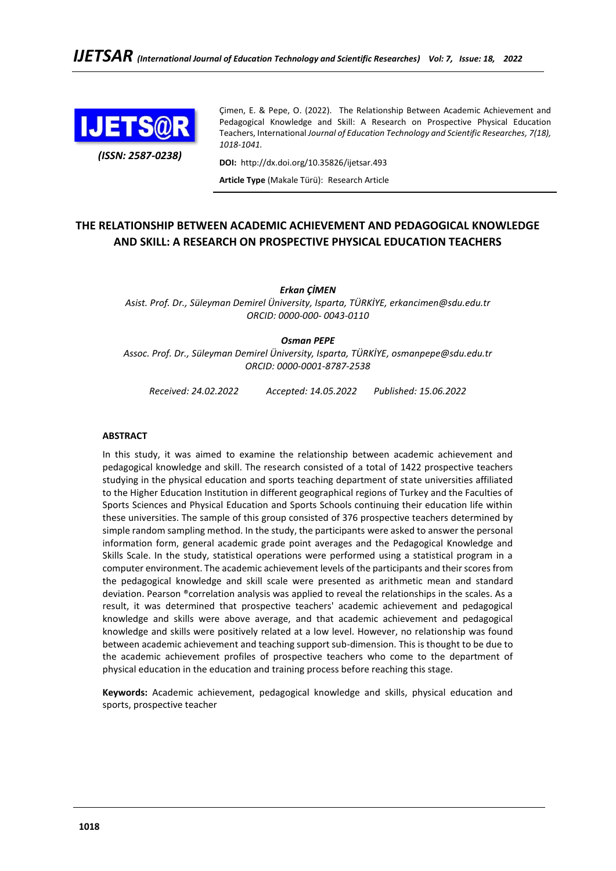

*(ISSN: 2587-0238)*

Çimen, E. & Pepe, O. (2022). The Relationship Between Academic Achievement and Pedagogical Knowledge and Skill: A Research on Prospective Physical Education Teachers, International *Journal of Education Technology and Scientific Researches, 7(18), 1018-1041.*

**DOI:** http://dx.doi.org/10.35826/ijetsar.493

**Article Type** (Makale Türü): Research Article

# **THE RELATIONSHIP BETWEEN ACADEMIC ACHIEVEMENT AND PEDAGOGICAL KNOWLEDGE AND SKILL: A RESEARCH ON PROSPECTIVE PHYSICAL EDUCATION TEACHERS**

*Erkan ÇİMEN*

*Asist. Prof. Dr., Süleyman Demirel Üniversity, Isparta, TÜRKİYE, erkancimen@sdu.edu.tr ORCID: 0000-000- 0043-0110*

#### *Osman PEPE*

*Assoc. Prof. Dr., Süleyman Demirel Üniversity, Isparta, TÜRKİYE, osmanpepe@sdu.edu.tr ORCID: 0000-0001-8787-2538*

*Received: 24.02.2022 Accepted: 14.05.2022 Published: 15.06.2022*

**ABSTRACT**

In this study, it was aimed to examine the relationship between academic achievement and pedagogical knowledge and skill. The research consisted of a total of 1422 prospective teachers studying in the physical education and sports teaching department of state universities affiliated to the Higher Education Institution in different geographical regions of Turkey and the Faculties of Sports Sciences and Physical Education and Sports Schools continuing their education life within these universities. The sample of this group consisted of 376 prospective teachers determined by simple random sampling method. In the study, the participants were asked to answer the personal information form, general academic grade point averages and the Pedagogical Knowledge and Skills Scale. In the study, statistical operations were performed using a statistical program in a computer environment. The academic achievement levels of the participants and their scores from the pedagogical knowledge and skill scale were presented as arithmetic mean and standard deviation. Pearson ®correlation analysis was applied to reveal the relationships in the scales. As a result, it was determined that prospective teachers' academic achievement and pedagogical knowledge and skills were above average, and that academic achievement and pedagogical knowledge and skills were positively related at a low level. However, no relationship was found between academic achievement and teaching support sub-dimension. This is thought to be due to the academic achievement profiles of prospective teachers who come to the department of physical education in the education and training process before reaching this stage.

**Keywords:** Academic achievement, pedagogical knowledge and skills, physical education and sports, prospective teacher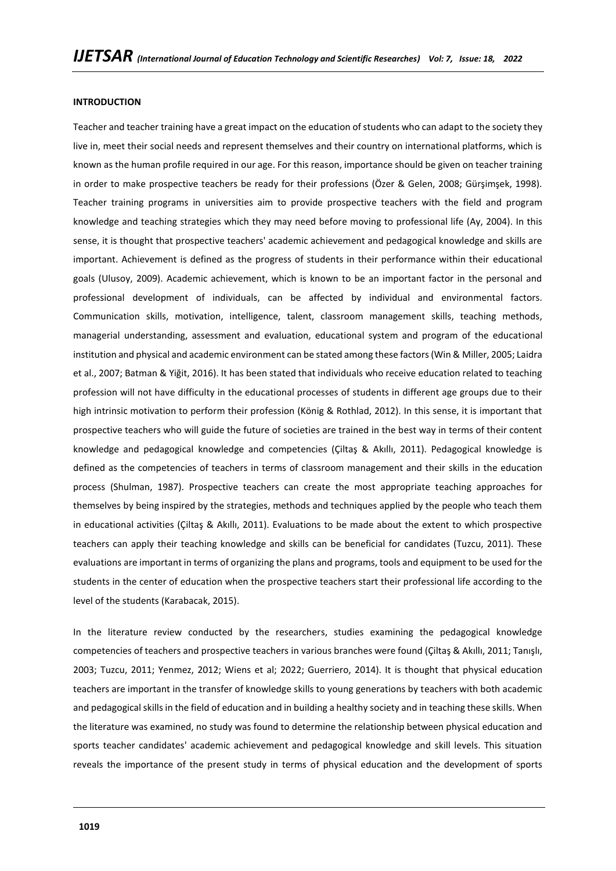#### **INTRODUCTION**

Teacher and teacher training have a great impact on the education of students who can adapt to the society they live in, meet their social needs and represent themselves and their country on international platforms, which is known as the human profile required in our age. For this reason, importance should be given on teacher training in order to make prospective teachers be ready for their professions (Özer & Gelen, 2008; Gürşimşek, 1998). Teacher training programs in universities aim to provide prospective teachers with the field and program knowledge and teaching strategies which they may need before moving to professional life (Ay, 2004). In this sense, it is thought that prospective teachers' academic achievement and pedagogical knowledge and skills are important. Achievement is defined as the progress of students in their performance within their educational goals (Ulusoy, 2009). Academic achievement, which is known to be an important factor in the personal and professional development of individuals, can be affected by individual and environmental factors. Communication skills, motivation, intelligence, talent, classroom management skills, teaching methods, managerial understanding, assessment and evaluation, educational system and program of the educational institution and physical and academic environment can be stated among these factors (Win & Miller, 2005; Laidra et al., 2007; Batman & Yiğit, 2016). It has been stated that individuals who receive education related to teaching profession will not have difficulty in the educational processes of students in different age groups due to their high intrinsic motivation to perform their profession (König & Rothlad, 2012). In this sense, it is important that prospective teachers who will guide the future of societies are trained in the best way in terms of their content knowledge and pedagogical knowledge and competencies (Çiltaş & Akıllı, 2011). Pedagogical knowledge is defined as the competencies of teachers in terms of classroom management and their skills in the education process (Shulman, 1987). Prospective teachers can create the most appropriate teaching approaches for themselves by being inspired by the strategies, methods and techniques applied by the people who teach them in educational activities (Çiltaş & Akıllı, 2011). Evaluations to be made about the extent to which prospective teachers can apply their teaching knowledge and skills can be beneficial for candidates (Tuzcu, 2011). These evaluations are important in terms of organizing the plans and programs, tools and equipment to be used for the students in the center of education when the prospective teachers start their professional life according to the level of the students (Karabacak, 2015).

In the literature review conducted by the researchers, studies examining the pedagogical knowledge competencies of teachers and prospective teachers in various branches were found (Çiltaş & Akıllı, 2011; Tanışlı, 2003; Tuzcu, 2011; Yenmez, 2012; Wiens et al; 2022; Guerriero, 2014). It is thought that physical education teachers are important in the transfer of knowledge skills to young generations by teachers with both academic and pedagogical skills in the field of education and in building a healthy society and in teaching these skills. When the literature was examined, no study was found to determine the relationship between physical education and sports teacher candidates' academic achievement and pedagogical knowledge and skill levels. This situation reveals the importance of the present study in terms of physical education and the development of sports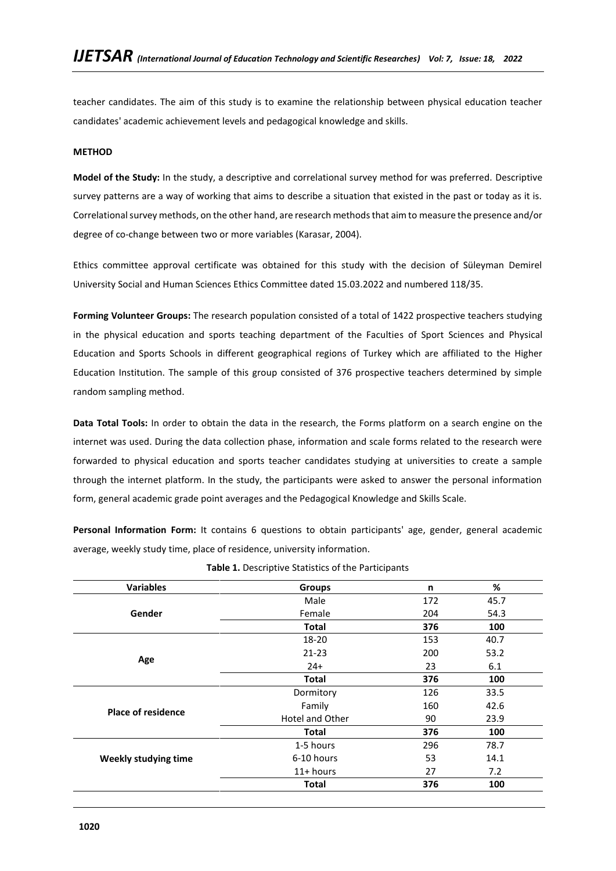teacher candidates. The aim of this study is to examine the relationship between physical education teacher candidates' academic achievement levels and pedagogical knowledge and skills.

### **METHOD**

**Model of the Study:** In the study, a descriptive and correlational survey method for was preferred. Descriptive survey patterns are a way of working that aims to describe a situation that existed in the past or today as it is. Correlational survey methods, on the other hand, are research methods that aim to measure the presence and/or degree of co-change between two or more variables (Karasar, 2004).

Ethics committee approval certificate was obtained for this study with the decision of Süleyman Demirel University Social and Human Sciences Ethics Committee dated 15.03.2022 and numbered 118/35.

**Forming Volunteer Groups:** The research population consisted of a total of 1422 prospective teachers studying in the physical education and sports teaching department of the Faculties of Sport Sciences and Physical Education and Sports Schools in different geographical regions of Turkey which are affiliated to the Higher Education Institution. The sample of this group consisted of 376 prospective teachers determined by simple random sampling method.

**Data Total Tools:** In order to obtain the data in the research, the Forms platform on a search engine on the internet was used. During the data collection phase, information and scale forms related to the research were forwarded to physical education and sports teacher candidates studying at universities to create a sample through the internet platform. In the study, the participants were asked to answer the personal information form, general academic grade point averages and the Pedagogical Knowledge and Skills Scale.

**Personal Information Form:** It contains 6 questions to obtain participants' age, gender, general academic average, weekly study time, place of residence, university information.

| <b>Variables</b>            | <b>Groups</b>   | n   | %    |
|-----------------------------|-----------------|-----|------|
|                             | Male            | 172 | 45.7 |
| Gender                      | Female          | 204 | 54.3 |
|                             | <b>Total</b>    | 376 | 100  |
|                             | 18-20           | 153 | 40.7 |
|                             | $21 - 23$       | 200 | 53.2 |
| Age                         | $24+$           | 23  | 6.1  |
|                             | <b>Total</b>    | 376 | 100  |
|                             | Dormitory       | 126 | 33.5 |
| <b>Place of residence</b>   | Family          | 160 | 42.6 |
|                             | Hotel and Other | 90  | 23.9 |
|                             | <b>Total</b>    | 376 | 100  |
|                             | 1-5 hours       | 296 | 78.7 |
| <b>Weekly studying time</b> | 6-10 hours      | 53  | 14.1 |
|                             | $11+$ hours     | 27  | 7.2  |
|                             | <b>Total</b>    | 376 | 100  |

**Table 1.** Descriptive Statistics of the Participants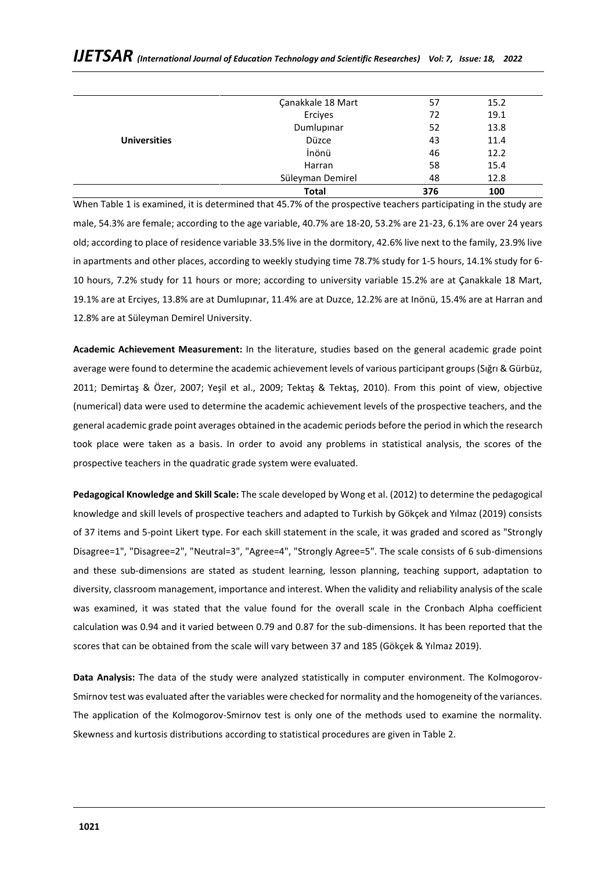|                     | Süleyman Demirel<br><b>Total</b> | 48<br>376 | 12.8<br>100 |
|---------------------|----------------------------------|-----------|-------------|
|                     | Harran                           | 58        | 15.4        |
|                     | İnönü                            | 46        | 12.2        |
| <b>Universities</b> | Düzce                            | 43        | 11.4        |
|                     | Dumlupinar                       | 52        | 13.8        |
|                     | Erciyes                          | 72        | 19.1        |
|                     | Çanakkale 18 Mart                | 57        | 15.2        |

# *IJETSAR (International Journal of Education Technology and Scientific Researches) Vol: 7, Issue: 18, 2022*

When Table 1 is examined, it is determined that 45.7% of the prospective teachers participating in the study are male, 54.3% are female; according to the age variable, 40.7% are 18-20, 53.2% are 21-23, 6.1% are over 24 years old; according to place of residence variable 33.5% live in the dormitory, 42.6% live next to the family, 23.9% live in apartments and other places, according to weekly studying time 78.7% study for 1-5 hours, 14.1% study for 6- 10 hours, 7.2% study for 11 hours or more; according to university variable 15.2% are at Çanakkale 18 Mart, 19.1% are at Erciyes, 13.8% are at Dumlupınar, 11.4% are at Duzce, 12.2% are at Inönü, 15.4% are at Harran and 12.8% are at Süleyman Demirel University.

**Academic Achievement Measurement:** In the literature, studies based on the general academic grade point average were found to determine the academic achievement levels of various participant groups (Sığrı & Gürbüz, 2011; Demirtaş & Özer, 2007; Yeşil et al., 2009; Tektaş & Tektaş, 2010). From this point of view, objective (numerical) data were used to determine the academic achievement levels of the prospective teachers, and the general academic grade point averages obtained in the academic periods before the period in which the research took place were taken as a basis. In order to avoid any problems in statistical analysis, the scores of the prospective teachers in the quadratic grade system were evaluated.

**Pedagogical Knowledge and Skill Scale:** The scale developed by Wong et al. (2012) to determine the pedagogical knowledge and skill levels of prospective teachers and adapted to Turkish by Gökçek and Yılmaz (2019) consists of 37 items and 5-point Likert type. For each skill statement in the scale, it was graded and scored as "Strongly Disagree=1", "Disagree=2", "Neutral=3", "Agree=4", "Strongly Agree=5". The scale consists of 6 sub-dimensions and these sub-dimensions are stated as student learning, lesson planning, teaching support, adaptation to diversity, classroom management, importance and interest. When the validity and reliability analysis of the scale was examined, it was stated that the value found for the overall scale in the Cronbach Alpha coefficient calculation was 0.94 and it varied between 0.79 and 0.87 for the sub-dimensions. It has been reported that the scores that can be obtained from the scale will vary between 37 and 185 (Gökçek & Yılmaz 2019).

**Data Analysis:** The data of the study were analyzed statistically in computer environment. The Kolmogorov-Smirnov test was evaluated after the variables were checked for normality and the homogeneity of the variances. The application of the Kolmogorov-Smirnov test is only one of the methods used to examine the normality. Skewness and kurtosis distributions according to statistical procedures are given in Table 2.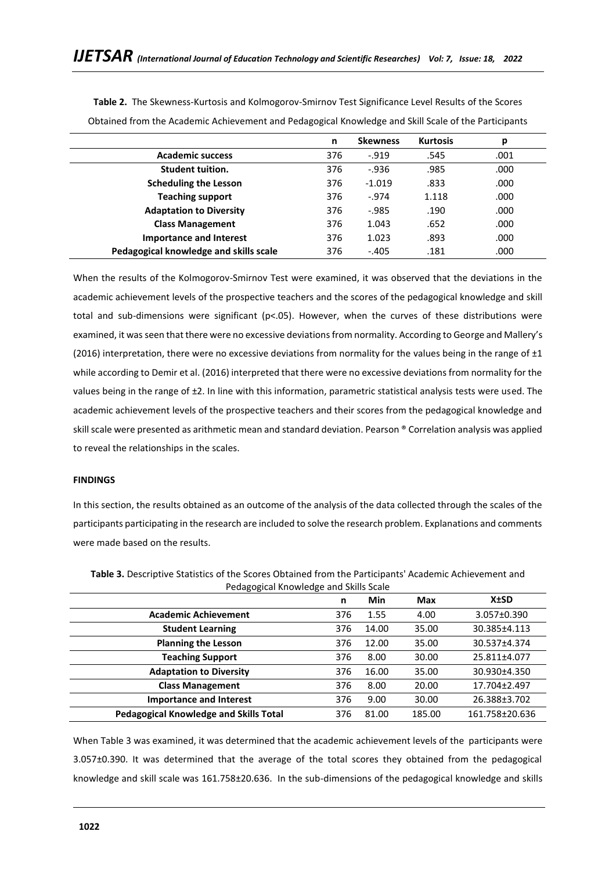|                                        | n   | <b>Skewness</b> | <b>Kurtosis</b> | p    |
|----------------------------------------|-----|-----------------|-----------------|------|
| <b>Academic success</b>                | 376 | $-0.919$        | .545            | .001 |
| <b>Student tuition.</b>                | 376 | $-0.936$        | .985            | .000 |
| <b>Scheduling the Lesson</b>           | 376 | $-1.019$        | .833            | .000 |
| <b>Teaching support</b>                | 376 | $-974$          | 1.118           | .000 |
| <b>Adaptation to Diversity</b>         | 376 | $-0.985$        | .190            | .000 |
| <b>Class Management</b>                | 376 | 1.043           | .652            | .000 |
| <b>Importance and Interest</b>         | 376 | 1.023           | .893            | .000 |
| Pedagogical knowledge and skills scale | 376 | $-.405$         | .181            | .000 |

**Table 2.** The Skewness-Kurtosis and Kolmogorov-Smirnov Test Significance Level Results of the Scores Obtained from the Academic Achievement and Pedagogical Knowledge and Skill Scale of the Participants

When the results of the Kolmogorov-Smirnov Test were examined, it was observed that the deviations in the academic achievement levels of the prospective teachers and the scores of the pedagogical knowledge and skill total and sub-dimensions were significant (p<.05). However, when the curves of these distributions were examined, it was seen that there were no excessive deviations from normality. According to George and Mallery's (2016) interpretation, there were no excessive deviations from normality for the values being in the range of  $\pm 1$ while according to Demir et al. (2016) interpreted that there were no excessive deviations from normality for the values being in the range of ±2. In line with this information, parametric statistical analysis tests were used. The academic achievement levels of the prospective teachers and their scores from the pedagogical knowledge and skill scale were presented as arithmetic mean and standard deviation. Pearson ® Correlation analysis was applied to reveal the relationships in the scales.

#### **FINDINGS**

In this section, the results obtained as an outcome of the analysis of the data collected through the scales of the participants participating in the research are included to solve the research problem. Explanations and comments were made based on the results.

|                                               | n   | Min   | <b>Max</b> | <b>X±SD</b>    |
|-----------------------------------------------|-----|-------|------------|----------------|
| <b>Academic Achievement</b>                   | 376 | 1.55  | 4.00       | 3.057±0.390    |
| <b>Student Learning</b>                       | 376 | 14.00 | 35.00      | 30.385±4.113   |
| <b>Planning the Lesson</b>                    | 376 | 12.00 | 35.00      | 30.537±4.374   |
| <b>Teaching Support</b>                       | 376 | 8.00  | 30.00      | 25.811±4.077   |
| <b>Adaptation to Diversity</b>                | 376 | 16.00 | 35.00      | 30.930±4.350   |
| <b>Class Management</b>                       | 376 | 8.00  | 20.00      | 17.704±2.497   |
| <b>Importance and Interest</b>                | 376 | 9.00  | 30.00      | 26.388±3.702   |
| <b>Pedagogical Knowledge and Skills Total</b> | 376 | 81.00 | 185.00     | 161.758±20.636 |

**Table 3.** Descriptive Statistics of the Scores Obtained from the Participants' Academic Achievement and Pedagogical Knowledge and Skills Scale

When Table 3 was examined, it was determined that the academic achievement levels of the participants were 3.057±0.390. It was determined that the average of the total scores they obtained from the pedagogical knowledge and skill scale was 161.758±20.636. In the sub-dimensions of the pedagogical knowledge and skills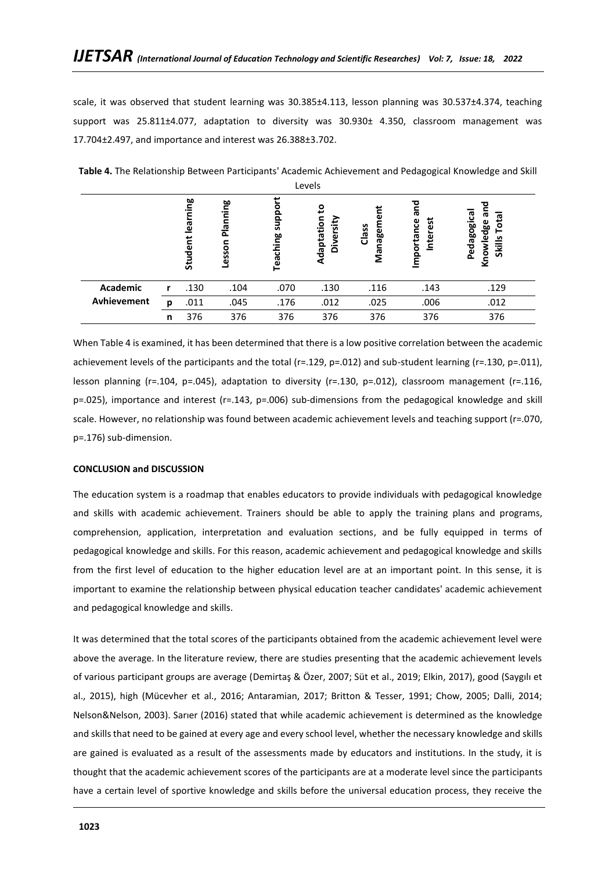scale, it was observed that student learning was 30.385±4.113, lesson planning was 30.537±4.374, teaching support was 25.811±4.077, adaptation to diversity was 30.930± 4.350, classroom management was 17.704±2.497, and importance and interest was 26.388±3.702.

|             |   | œ<br>η.<br>Τ<br>leari<br>udent<br>ະົ | Planning<br>Lesson | <b>oddns</b><br>Teaching | ន<br>Adaptation<br>rsity<br>Diver | nagem<br>Class<br>Ρã | ಹ<br>Interest<br>portance | ъ<br>Pedagogical<br>ᠬᠣ<br>त<br>Tot<br>Knowledge<br><b>Skills</b> |
|-------------|---|--------------------------------------|--------------------|--------------------------|-----------------------------------|----------------------|---------------------------|------------------------------------------------------------------|
| Academic    | r | .130                                 | .104               | .070                     | .130                              | .116                 | .143                      | .129                                                             |
| Avhievement | p | .011                                 | .045               | .176                     | .012                              | .025                 | .006                      | .012                                                             |
|             | n | 376                                  | 376                | 376                      | 376                               | 376                  | 376                       | 376                                                              |

**Table 4.** The Relationship Between Participants' Academic Achievement and Pedagogical Knowledge and Skill Levels

When Table 4 is examined, it has been determined that there is a low positive correlation between the academic achievement levels of the participants and the total (r=.129, p=.012) and sub-student learning (r=.130, p=.011), lesson planning (r=.104, p=.045), adaptation to diversity (r=.130, p=.012), classroom management (r=.116, p=.025), importance and interest (r=.143, p=.006) sub-dimensions from the pedagogical knowledge and skill scale. However, no relationship was found between academic achievement levels and teaching support (r=.070, p=.176) sub-dimension.

#### **CONCLUSION and DISCUSSION**

The education system is a roadmap that enables educators to provide individuals with pedagogical knowledge and skills with academic achievement. Trainers should be able to apply the training plans and programs, comprehension, application, interpretation and evaluation sections, and be fully equipped in terms of pedagogical knowledge and skills. For this reason, academic achievement and pedagogical knowledge and skills from the first level of education to the higher education level are at an important point. In this sense, it is important to examine the relationship between physical education teacher candidates' academic achievement and pedagogical knowledge and skills.

It was determined that the total scores of the participants obtained from the academic achievement level were above the average. In the literature review, there are studies presenting that the academic achievement levels of various participant groups are average (Demirtaş & Özer, 2007; Süt et al., 2019; Elkin, 2017), good (Saygılı et al., 2015), high (Mücevher et al., 2016; Antaramian, 2017; Britton & Tesser, 1991; Chow, 2005; Dalli, 2014; Nelson&Nelson, 2003). Sarıer (2016) stated that while academic achievement is determined as the knowledge and skills that need to be gained at every age and every school level, whether the necessary knowledge and skills are gained is evaluated as a result of the assessments made by educators and institutions. In the study, it is thought that the academic achievement scores of the participants are at a moderate level since the participants have a certain level of sportive knowledge and skills before the universal education process, they receive the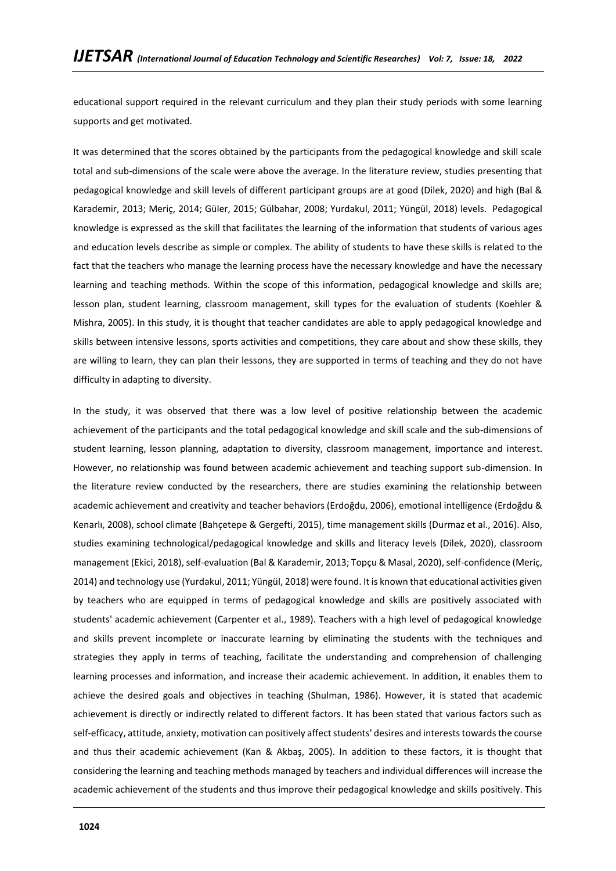educational support required in the relevant curriculum and they plan their study periods with some learning supports and get motivated.

It was determined that the scores obtained by the participants from the pedagogical knowledge and skill scale total and sub-dimensions of the scale were above the average. In the literature review, studies presenting that pedagogical knowledge and skill levels of different participant groups are at good (Dilek, 2020) and high (Bal & Karademir, 2013; Meriç, 2014; Güler, 2015; Gülbahar, 2008; Yurdakul, 2011; Yüngül, 2018) levels. Pedagogical knowledge is expressed as the skill that facilitates the learning of the information that students of various ages and education levels describe as simple or complex. The ability of students to have these skills is related to the fact that the teachers who manage the learning process have the necessary knowledge and have the necessary learning and teaching methods. Within the scope of this information, pedagogical knowledge and skills are; lesson plan, student learning, classroom management, skill types for the evaluation of students (Koehler & Mishra, 2005). In this study, it is thought that teacher candidates are able to apply pedagogical knowledge and skills between intensive lessons, sports activities and competitions, they care about and show these skills, they are willing to learn, they can plan their lessons, they are supported in terms of teaching and they do not have difficulty in adapting to diversity.

In the study, it was observed that there was a low level of positive relationship between the academic achievement of the participants and the total pedagogical knowledge and skill scale and the sub-dimensions of student learning, lesson planning, adaptation to diversity, classroom management, importance and interest. However, no relationship was found between academic achievement and teaching support sub-dimension. In the literature review conducted by the researchers, there are studies examining the relationship between academic achievement and creativity and teacher behaviors (Erdoğdu, 2006), emotional intelligence (Erdoğdu & Kenarlı, 2008), school climate (Bahçetepe & Gergefti, 2015), time management skills (Durmaz et al., 2016). Also, studies examining technological/pedagogical knowledge and skills and literacy levels (Dilek, 2020), classroom management (Ekici, 2018), self-evaluation (Bal & Karademir, 2013; Topçu & Masal, 2020), self-confidence (Meriç, 2014) and technology use (Yurdakul, 2011; Yüngül, 2018) were found. It is known that educational activities given by teachers who are equipped in terms of pedagogical knowledge and skills are positively associated with students' academic achievement (Carpenter et al., 1989). Teachers with a high level of pedagogical knowledge and skills prevent incomplete or inaccurate learning by eliminating the students with the techniques and strategies they apply in terms of teaching, facilitate the understanding and comprehension of challenging learning processes and information, and increase their academic achievement. In addition, it enables them to achieve the desired goals and objectives in teaching (Shulman, 1986). However, it is stated that academic achievement is directly or indirectly related to different factors. It has been stated that various factors such as self-efficacy, attitude, anxiety, motivation can positively affect students' desires and interests towards the course and thus their academic achievement (Kan & Akbaş, 2005). In addition to these factors, it is thought that considering the learning and teaching methods managed by teachers and individual differences will increase the academic achievement of the students and thus improve their pedagogical knowledge and skills positively. This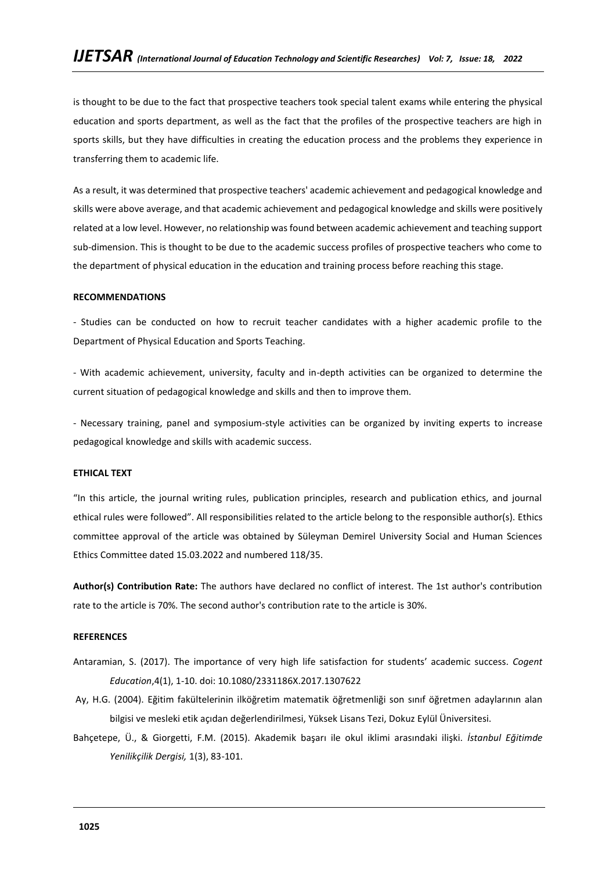is thought to be due to the fact that prospective teachers took special talent exams while entering the physical education and sports department, as well as the fact that the profiles of the prospective teachers are high in sports skills, but they have difficulties in creating the education process and the problems they experience in transferring them to academic life.

As a result, it was determined that prospective teachers' academic achievement and pedagogical knowledge and skills were above average, and that academic achievement and pedagogical knowledge and skills were positively related at a low level. However, no relationship was found between academic achievement and teaching support sub-dimension. This is thought to be due to the academic success profiles of prospective teachers who come to the department of physical education in the education and training process before reaching this stage.

#### **RECOMMENDATIONS**

- Studies can be conducted on how to recruit teacher candidates with a higher academic profile to the Department of Physical Education and Sports Teaching.

- With academic achievement, university, faculty and in-depth activities can be organized to determine the current situation of pedagogical knowledge and skills and then to improve them.

- Necessary training, panel and symposium-style activities can be organized by inviting experts to increase pedagogical knowledge and skills with academic success.

#### **ETHICAL TEXT**

"In this article, the journal writing rules, publication principles, research and publication ethics, and journal ethical rules were followed". All responsibilities related to the article belong to the responsible author(s). Ethics committee approval of the article was obtained by Süleyman Demirel University Social and Human Sciences Ethics Committee dated 15.03.2022 and numbered 118/35.

**Author(s) Contribution Rate:** The authors have declared no conflict of interest. The 1st author's contribution rate to the article is 70%. The second author's contribution rate to the article is 30%.

#### **REFERENCES**

- Antaramian, S. (2017). The importance of very high life satisfaction for students' academic success. *Cogent Education*,4(1), 1-10. doi: 10.1080/2331186X.2017.1307622
- Ay, H.G. (2004). Eğitim fakültelerinin ilköğretim matematik öğretmenliği son sınıf öğretmen adaylarının alan bilgisi ve mesleki etik açıdan değerlendirilmesi, Yüksek Lisans Tezi, Dokuz Eylül Üniversitesi.
- Bahçetepe, Ü., & Giorgetti, F.M. (2015). Akademik başarı ile okul iklimi arasındaki ilişki. *İstanbul Eğitimde Yenilikçilik Dergisi,* 1(3), 83-101.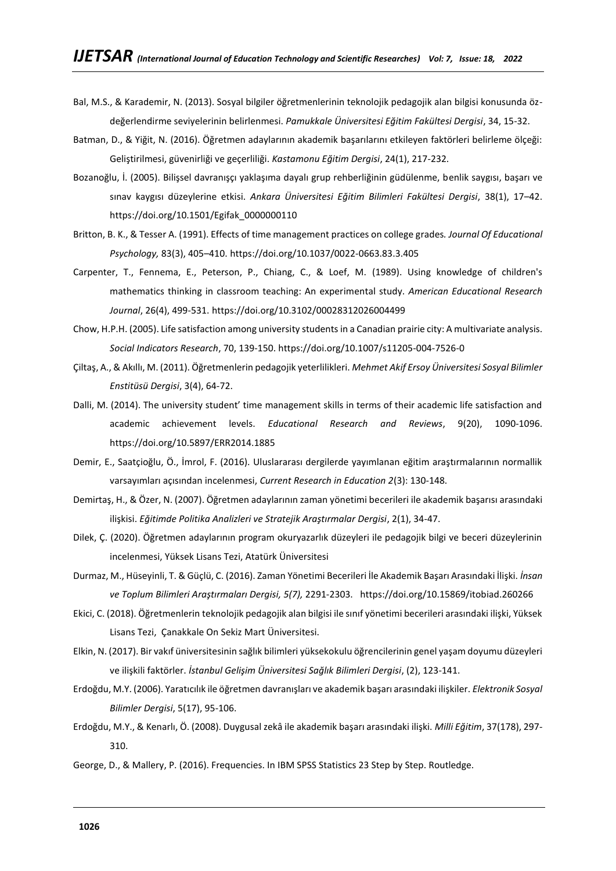- Bal, M.S., & Karademir, N. (2013). Sosyal bilgiler öğretmenlerinin teknolojik pedagojik alan bilgisi konusunda özdeğerlendirme seviyelerinin belirlenmesi. *Pamukkale Üniversitesi Eğitim Fakültesi Dergisi*, 34, 15-32.
- Batman, D., & Yiğit, N. (2016). Öğretmen adaylarının akademik başarılarını etkileyen faktörleri belirleme ölçeği: Geliştirilmesi, güvenirliği ve geçerliliği. *Kastamonu Eğitim Dergisi*, 24(1), 217-232.
- Bozanoğlu, İ. (2005). Bilişsel davranışçı yaklaşıma dayalı grup rehberliğinin güdülenme, benlik saygısı, başarı ve sınav kaygısı düzeylerine etkisi. *Ankara Üniversitesi Eğitim Bilimleri Fakültesi Dergisi*, 38(1), 17–42. https://doi.org/10.1501/Egifak\_0000000110
- Britton, B. K., & Tesser A. (1991). Effects of time management practices on college grades*. Journal Of Educational Psychology,* 83(3), 405–410. https://doi.org/10.1037/0022-0663.83.3.405
- Carpenter, T., Fennema, E., Peterson, P., Chiang, C., & Loef, M. (1989). Using knowledge of children's mathematics thinking in classroom teaching: An experimental study. *American Educational Research Journal*, 26(4), 499-531. https://doi.org/10.3102/00028312026004499
- Chow, H.P.H. (2005). Life satisfaction among university students in a Canadian prairie city: A multivariate analysis. *Social Indicators Research*, 70, 139-150. https://doi.org/10.1007/s11205-004-7526-0
- Çiltaş, A., & Akıllı, M. (2011). Öğretmenlerin pedagojik yeterlilikleri. *Mehmet Akif Ersoy Üniversitesi Sosyal Bilimler Enstitüsü Dergisi*, 3(4), 64-72.
- Dalli, M. (2014). The university student' time management skills in terms of their academic life satisfaction and academic achievement levels. *Educational Research and Reviews*, 9(20), 1090-1096. https://doi.org/10.5897/ERR2014.1885
- Demir, E., Saatçioğlu, Ö., İmrol, F. (2016). Uluslararası dergilerde yayımlanan eğitim araştırmalarının normallik varsayımları açısından incelenmesi, *Current Research in Education 2*(3): 130-148.
- Demirtaş, H., & Özer, N. (2007). Öğretmen adaylarının zaman yönetimi becerileri ile akademik başarısı arasındaki ilişkisi. *Eğitimde Politika Analizleri ve Stratejik Araştırmalar Dergisi*, 2(1), 34-47.
- Dilek, Ç. (2020). Öğretmen adaylarının program okuryazarlık düzeyleri ile pedagojik bilgi ve beceri düzeylerinin incelenmesi, Yüksek Lisans Tezi, Atatürk Üniversitesi
- Durmaz, M., Hüseyinli, T. & Güçlü, C. (2016). Zaman Yönetimi Becerileri İle Akademik Başarı Arasındaki İlişki. *İnsan ve Toplum Bilimleri Araştırmaları Dergisi, 5(7),* 2291-2303. https://doi.org/10.15869/itobiad.260266
- Ekici, C. (2018). Öğretmenlerin teknolojik pedagojik alan bilgisi ile sınıf yönetimi becerileri arasındaki ilişki, Yüksek Lisans Tezi, Çanakkale On Sekiz Mart Üniversitesi.
- Elkin, N. (2017). Bir vakıf üniversitesinin sağlık bilimleri yüksekokulu öğrencilerinin genel yaşam doyumu düzeyleri ve ilişkili faktörler. *İstanbul Gelişim Üniversitesi Sağlık Bilimleri Dergisi*, (2), 123-141.
- Erdoğdu, M.Y. (2006). Yaratıcılık ile öğretmen davranışları ve akademik başarı arasındaki ilişkiler. *Elektronik Sosyal Bilimler Dergisi*, 5(17), 95-106.
- Erdoğdu, M.Y., & Kenarlı, Ö. (2008). Duygusal zekâ ile akademik başarı arasındaki ilişki. *Milli Eğitim*, 37(178), 297- 310.
- George, D., & Mallery, P. (2016). Frequencies. In IBM SPSS Statistics 23 Step by Step. Routledge.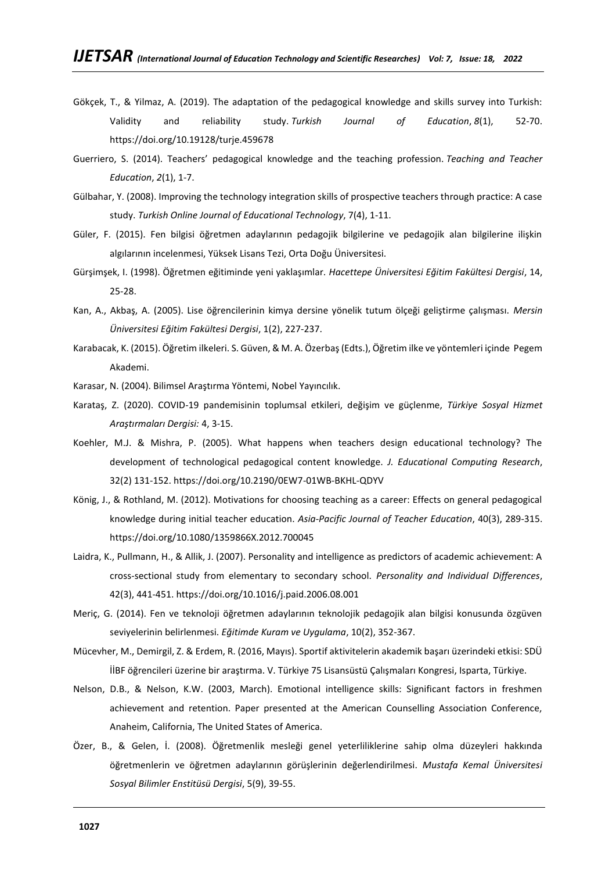- Gökçek, T., & Yilmaz, A. (2019). The adaptation of the pedagogical knowledge and skills survey into Turkish: Validity and reliability study. *Turkish Journal of Education*, *8*(1), 52-70. https://doi.org/10.19128/turje.459678
- Guerriero, S. (2014). Teachers' pedagogical knowledge and the teaching profession. *Teaching and Teacher Education*, *2*(1), 1-7.
- Gülbahar, Y. (2008). Improving the technology integration skills of prospective teachers through practice: A case study. *Turkish Online Journal of Educational Technology*, 7(4), 1-11.
- Güler, F. (2015). Fen bilgisi öğretmen adaylarının pedagojik bilgilerine ve pedagojik alan bilgilerine ilişkin algılarının incelenmesi, Yüksek Lisans Tezi, Orta Doğu Üniversitesi.
- Gürşimşek, I. (1998). Öğretmen eğitiminde yeni yaklaşımlar. *Hacettepe Üniversitesi Eğitim Fakültesi Dergisi*, 14, 25-28.
- Kan, A., Akbaş, A. (2005). Lise öğrencilerinin kimya dersine yönelik tutum ölçeği geliştirme çalışması. *Mersin Üniversitesi Eğitim Fakültesi Dergisi*, 1(2), 227-237.
- Karabacak, K. (2015). Öğretim ilkeleri. S. Güven, & M. A. Özerbaş (Edts.), Öğretim ilke ve yöntemleri içinde Pegem Akademi.
- Karasar, N. (2004). Bilimsel Araştırma Yöntemi, Nobel Yayıncılık.
- Karataş, Z. (2020). COVID-19 pandemisinin toplumsal etkileri, değişim ve güçlenme, *Türkiye Sosyal Hizmet Araştırmaları Dergisi:* 4, 3-15.
- Koehler, M.J. & Mishra, P. (2005). What happens when teachers design educational technology? The development of technological pedagogical content knowledge. *J. Educational Computing Research*, 32(2) 131-152. https://doi.org/10.2190/0EW7-01WB-BKHL-QDYV
- König, J., & Rothland, M. (2012). Motivations for choosing teaching as a career: Effects on general pedagogical knowledge during initial teacher education. *Asia-Pacific Journal of Teacher Education*, 40(3), 289-315. https://doi.org/10.1080/1359866X.2012.700045
- Laidra, K., Pullmann, H., & Allik, J. (2007). Personality and intelligence as predictors of academic achievement: A cross-sectional study from elementary to secondary school. *Personality and Individual Differences*, 42(3), 441-451. https://doi.org/10.1016/j.paid.2006.08.001
- Meriç, G. (2014). Fen ve teknoloji öğretmen adaylarının teknolojik pedagojik alan bilgisi konusunda özgüven seviyelerinin belirlenmesi. *Eğitimde Kuram ve Uygulama*, 10(2), 352-367.
- Mücevher, M., Demirgil, Z. & Erdem, R. (2016, Mayıs). Sportif aktivitelerin akademik başarı üzerindeki etkisi: SDÜ İİBF öğrencileri üzerine bir araştırma. V. Türkiye 75 Lisansüstü Çalışmaları Kongresi, Isparta, Türkiye.
- Nelson, D.B., & Nelson, K.W. (2003, March). Emotional intelligence skills: Significant factors in freshmen achievement and retention. Paper presented at the American Counselling Association Conference, Anaheim, California, The United States of America.
- Özer, B., & Gelen, İ. (2008). Öğretmenlik mesleği genel yeterliliklerine sahip olma düzeyleri hakkında öğretmenlerin ve öğretmen adaylarının görüşlerinin değerlendirilmesi. *Mustafa Kemal Üniversitesi Sosyal Bilimler Enstitüsü Dergisi*, 5(9), 39-55.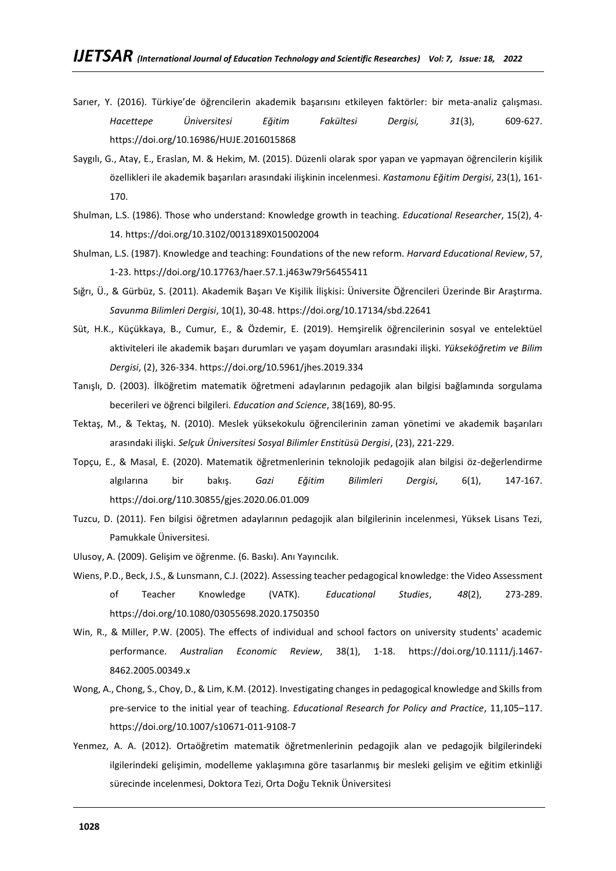- Sarıer, Y. (2016). Türkiye'de öğrencilerin akademik başarısını etkileyen faktörler: bir meta-analiz çalışması. *Hacettepe Üniversitesi Eğitim Fakültesi Dergisi, 31*(3), 609-627. https://doi.org/10.16986/HUJE.2016015868
- Saygılı, G., Atay, E., Eraslan, M. & Hekim, M. (2015). Düzenli olarak spor yapan ve yapmayan öğrencilerin kişilik özellikleri ile akademik başarıları arasındaki ilişkinin incelenmesi. *Kastamonu Eğitim Dergisi*, 23(1), 161- 170.
- Shulman, L.S. (1986). Those who understand: Knowledge growth in teaching. *Educational Researcher*, 15(2), 4- 14. https://doi.org/10.3102/0013189X015002004
- Shulman, L.S. (1987). Knowledge and teaching: Foundations of the new reform. *Harvard Educational Review*, 57, 1-23. https://doi.org/10.17763/haer.57.1.j463w79r56455411
- Sığrı, Ü., & Gürbüz, S. (2011). Akademik Başarı Ve Kişilik İlişkisi: Üniversite Öğrencileri Üzerinde Bir Araştırma. *Savunma Bilimleri Dergisi*, 10(1), 30-48. https://doi.org/10.17134/sbd.22641
- Süt, H.K., Küçükkaya, B., Cumur, E., & Özdemir, E. (2019). Hemşirelik öğrencilerinin sosyal ve entelektüel aktiviteleri ile akademik başarı durumları ve yaşam doyumları arasındaki ilişki. *Yükseköğretim ve Bilim Dergisi*, (2), 326-334. https://doi.org/10.5961/jhes.2019.334
- Tanışlı, D. (2003). İlköğretim matematik öğretmeni adaylarının pedagojik alan bilgisi bağlamında sorgulama becerileri ve öğrenci bilgileri. *Education and Science*, 38(169), 80-95.
- Tektaş, M., & Tektaş, N. (2010). Meslek yüksekokulu öğrencilerinin zaman yönetimi ve akademik başarıları arasındaki ilişki. *Selçuk Üniversitesi Sosyal Bilimler Enstitüsü Dergisi*, (23), 221-229.
- Topçu, E., & Masal, E. (2020). Matematik öğretmenlerinin teknolojik pedagojik alan bilgisi öz-değerlendirme algılarına bir bakış. *Gazi Eğitim Bilimleri Dergisi*, 6(1), 147-167. https://doi.org/110.30855/gjes.2020.06.01.009
- Tuzcu, D. (2011). Fen bilgisi öğretmen adaylarının pedagojik alan bilgilerinin incelenmesi, Yüksek Lisans Tezi, Pamukkale Üniversitesi.
- Ulusoy, A. (2009). Gelişim ve öğrenme. (6. Baskı). Anı Yayıncılık.
- Wiens, P.D., Beck, J.S., & Lunsmann, C.J. (2022). Assessing teacher pedagogical knowledge: the Video Assessment of Teacher Knowledge (VATK). *Educational Studies*, *48*(2), 273-289. https://doi.org/10.1080/03055698.2020.1750350
- Win, R., & Miller, P.W. (2005). The effects of individual and school factors on university students' academic performance. *Australian Economic Review*, 38(1), 1-18. https://doi.org/10.1111/j.1467- 8462.2005.00349.x
- Wong, A., Chong, S., Choy, D., & Lim, K.M. (2012). Investigating changes in pedagogical knowledge and Skills from pre-service to the initial year of teaching. *Educational Research for Policy and Practice*, 11,105–117. https://doi.org/10.1007/s10671-011-9108-7
- Yenmez, A. A. (2012). Ortaöğretim matematik öğretmenlerinin pedagojik alan ve pedagojik bilgilerindeki ilgilerindeki gelişimin, modelleme yaklaşımına göre tasarlanmış bir mesleki gelişim ve eğitim etkinliği sürecinde incelenmesi, Doktora Tezi, Orta Doğu Teknik Üniversitesi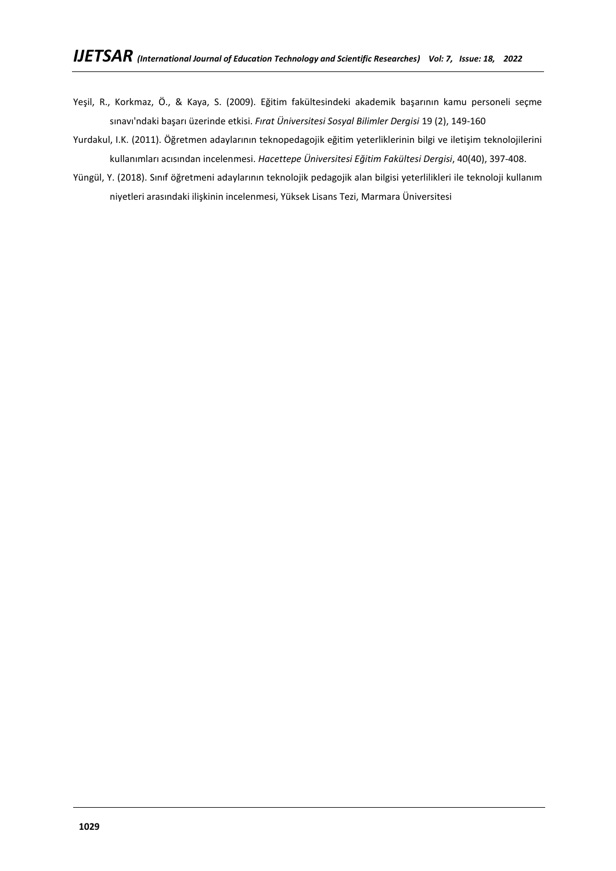- Yeşil, R., Korkmaz, Ö., & Kaya, S. (2009). Eğitim fakültesindeki akademik başarının kamu personeli seçme sınavı'ndaki başarı üzerinde etkisi. *Fırat Üniversitesi Sosyal Bilimler Dergisi* 19 (2), 149-160
- Yurdakul, I.K. (2011). Öğretmen adaylarının teknopedagojik eğitim yeterliklerinin bilgi ve iletişim teknolojilerini kullanımları acısından incelenmesi. *Hacettepe Üniversitesi Eğitim Fakültesi Dergisi*, 40(40), 397-408.
- Yüngül, Y. (2018). Sınıf öğretmeni adaylarının teknolojik pedagojik alan bilgisi yeterlilikleri ile teknoloji kullanım niyetleri arasındaki ilişkinin incelenmesi, Yüksek Lisans Tezi, Marmara Üniversitesi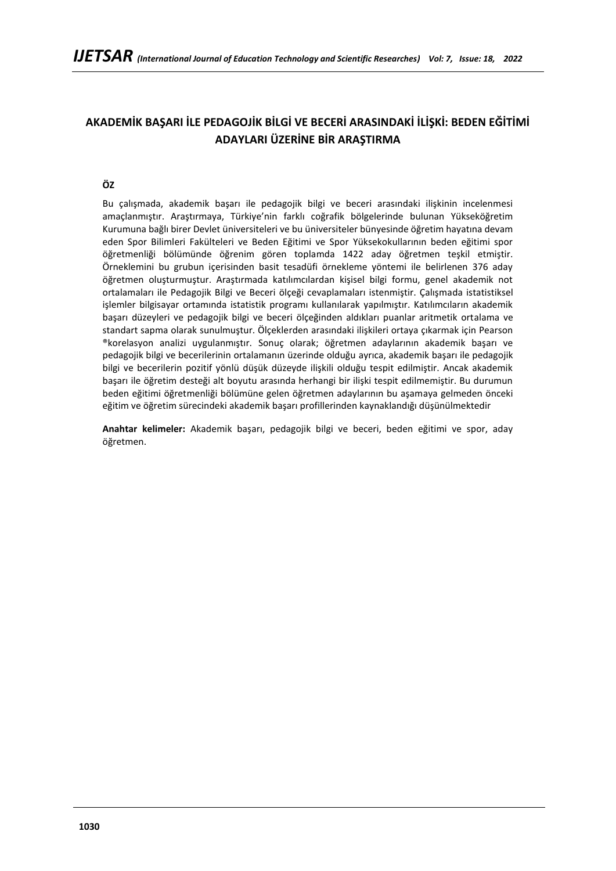# **AKADEMİK BAŞARI İLE PEDAGOJİK BİLGİ VE BECERİ ARASINDAKİ İLİŞKİ: BEDEN EĞİTİMİ ADAYLARI ÜZERİNE BİR ARAŞTIRMA**

## **ÖZ**

Bu çalışmada, akademik başarı ile pedagojik bilgi ve beceri arasındaki ilişkinin incelenmesi amaçlanmıştır. Araştırmaya, Türkiye'nin farklı coğrafik bölgelerinde bulunan Yükseköğretim Kurumuna bağlı birer Devlet üniversiteleri ve bu üniversiteler bünyesinde öğretim hayatına devam eden Spor Bilimleri Fakülteleri ve Beden Eğitimi ve Spor Yüksekokullarının beden eğitimi spor öğretmenliği bölümünde öğrenim gören toplamda 1422 aday öğretmen teşkil etmiştir. Örneklemini bu grubun içerisinden basit tesadüfi örnekleme yöntemi ile belirlenen 376 aday öğretmen oluşturmuştur. Araştırmada katılımcılardan kişisel bilgi formu, genel akademik not ortalamaları ile Pedagojik Bilgi ve Beceri ölçeği cevaplamaları istenmiştir. Çalışmada istatistiksel işlemler bilgisayar ortamında istatistik programı kullanılarak yapılmıştır. Katılımcıların akademik başarı düzeyleri ve pedagojik bilgi ve beceri ölçeğinden aldıkları puanlar aritmetik ortalama ve standart sapma olarak sunulmuştur. Ölçeklerden arasındaki ilişkileri ortaya çıkarmak için Pearson ®korelasyon analizi uygulanmıştır. Sonuç olarak; öğretmen adaylarının akademik başarı ve pedagojik bilgi ve becerilerinin ortalamanın üzerinde olduğu ayrıca, akademik başarı ile pedagojik bilgi ve becerilerin pozitif yönlü düşük düzeyde ilişkili olduğu tespit edilmiştir. Ancak akademik başarı ile öğretim desteği alt boyutu arasında herhangi bir ilişki tespit edilmemiştir. Bu durumun beden eğitimi öğretmenliği bölümüne gelen öğretmen adaylarının bu aşamaya gelmeden önceki eğitim ve öğretim sürecindeki akademik başarı profillerinden kaynaklandığı düşünülmektedir

**Anahtar kelimeler:** Akademik başarı, pedagojik bilgi ve beceri, beden eğitimi ve spor, aday öğretmen.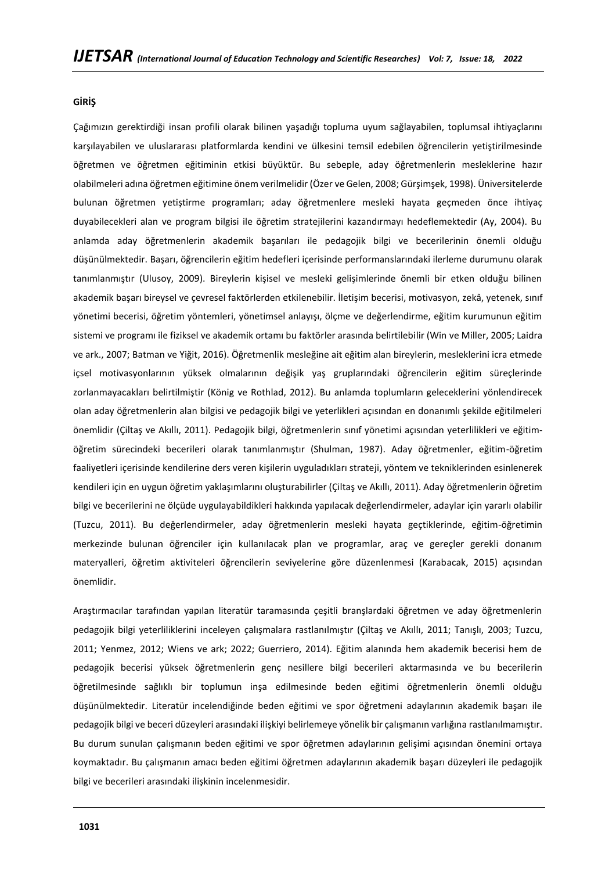#### **GİRİŞ**

Çağımızın gerektirdiği insan profili olarak bilinen yaşadığı topluma uyum sağlayabilen, toplumsal ihtiyaçlarını karşılayabilen ve uluslararası platformlarda kendini ve ülkesini temsil edebilen öğrencilerin yetiştirilmesinde öğretmen ve öğretmen eğitiminin etkisi büyüktür. Bu sebeple, aday öğretmenlerin mesleklerine hazır olabilmeleri adına öğretmen eğitimine önem verilmelidir (Özer ve Gelen, 2008; Gürşimşek, 1998). Üniversitelerde bulunan öğretmen yetiştirme programları; aday öğretmenlere mesleki hayata geçmeden önce ihtiyaç duyabilecekleri alan ve program bilgisi ile öğretim stratejilerini kazandırmayı hedeflemektedir (Ay, 2004). Bu anlamda aday öğretmenlerin akademik başarıları ile pedagojik bilgi ve becerilerinin önemli olduğu düşünülmektedir. Başarı, öğrencilerin eğitim hedefleri içerisinde performanslarındaki ilerleme durumunu olarak tanımlanmıştır (Ulusoy, 2009). Bireylerin kişisel ve mesleki gelişimlerinde önemli bir etken olduğu bilinen akademik başarı bireysel ve çevresel faktörlerden etkilenebilir. İletişim becerisi, motivasyon, zekâ, yetenek, sınıf yönetimi becerisi, öğretim yöntemleri, yönetimsel anlayışı, ölçme ve değerlendirme, eğitim kurumunun eğitim sistemi ve programı ile fiziksel ve akademik ortamı bu faktörler arasında belirtilebilir (Win ve Miller, 2005; Laidra ve ark., 2007; Batman ve Yiğit, 2016). Öğretmenlik mesleğine ait eğitim alan bireylerin, mesleklerini icra etmede içsel motivasyonlarının yüksek olmalarının değişik yaş gruplarındaki öğrencilerin eğitim süreçlerinde zorlanmayacakları belirtilmiştir (König ve Rothlad, 2012). Bu anlamda toplumların geleceklerini yönlendirecek olan aday öğretmenlerin alan bilgisi ve pedagojik bilgi ve yeterlikleri açısından en donanımlı şekilde eğitilmeleri önemlidir (Çiltaş ve Akıllı, 2011). Pedagojik bilgi, öğretmenlerin sınıf yönetimi açısından yeterlilikleri ve eğitimöğretim sürecindeki becerileri olarak tanımlanmıştır (Shulman, 1987). Aday öğretmenler, eğitim-öğretim faaliyetleri içerisinde kendilerine ders veren kişilerin uyguladıkları strateji, yöntem ve tekniklerinden esinlenerek kendileri için en uygun öğretim yaklaşımlarını oluşturabilirler (Çiltaş ve Akıllı, 2011). Aday öğretmenlerin öğretim bilgi ve becerilerini ne ölçüde uygulayabildikleri hakkında yapılacak değerlendirmeler, adaylar için yararlı olabilir (Tuzcu, 2011). Bu değerlendirmeler, aday öğretmenlerin mesleki hayata geçtiklerinde, eğitim-öğretimin merkezinde bulunan öğrenciler için kullanılacak plan ve programlar, araç ve gereçler gerekli donanım materyalleri, öğretim aktiviteleri öğrencilerin seviyelerine göre düzenlenmesi (Karabacak, 2015) açısından önemlidir.

Araştırmacılar tarafından yapılan literatür taramasında çeşitli branşlardaki öğretmen ve aday öğretmenlerin pedagojik bilgi yeterliliklerini inceleyen çalışmalara rastlanılmıştır (Çiltaş ve Akıllı, 2011; Tanışlı, 2003; Tuzcu, 2011; Yenmez, 2012; Wiens ve ark; 2022; Guerriero, 2014). Eğitim alanında hem akademik becerisi hem de pedagojik becerisi yüksek öğretmenlerin genç nesillere bilgi becerileri aktarmasında ve bu becerilerin öğretilmesinde sağlıklı bir toplumun inşa edilmesinde beden eğitimi öğretmenlerin önemli olduğu düşünülmektedir. Literatür incelendiğinde beden eğitimi ve spor öğretmeni adaylarının akademik başarı ile pedagojik bilgi ve beceri düzeyleri arasındaki ilişkiyi belirlemeye yönelik bir çalışmanın varlığına rastlanılmamıştır. Bu durum sunulan çalışmanın beden eğitimi ve spor öğretmen adaylarının gelişimi açısından önemini ortaya koymaktadır. Bu çalışmanın amacı beden eğitimi öğretmen adaylarının akademik başarı düzeyleri ile pedagojik bilgi ve becerileri arasındaki ilişkinin incelenmesidir.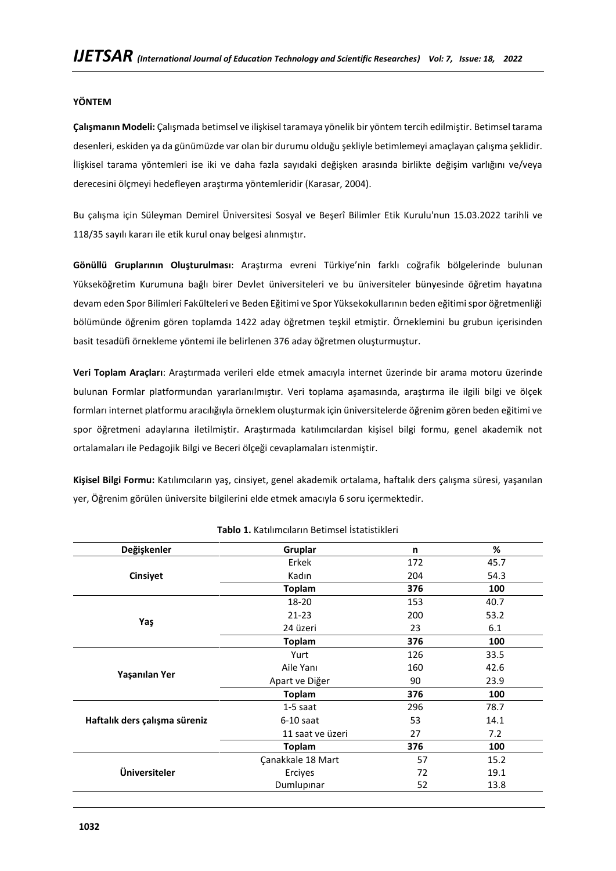### **YÖNTEM**

**Çalışmanın Modeli:** Çalışmada betimsel ve ilişkisel taramaya yönelik bir yöntem tercih edilmiştir. Betimsel tarama desenleri, eskiden ya da günümüzde var olan bir durumu olduğu şekliyle betimlemeyi amaçlayan çalışma şeklidir. İlişkisel tarama yöntemleri ise iki ve daha fazla sayıdaki değişken arasında birlikte değişim varlığını ve/veya derecesini ölçmeyi hedefleyen araştırma yöntemleridir (Karasar, 2004).

Bu çalışma için Süleyman Demirel Üniversitesi Sosyal ve Beşerî Bilimler Etik Kurulu'nun 15.03.2022 tarihli ve 118/35 sayılı kararı ile etik kurul onay belgesi alınmıştır.

**Gönüllü Gruplarının Oluşturulması**: Araştırma evreni Türkiye'nin farklı coğrafik bölgelerinde bulunan Yükseköğretim Kurumuna bağlı birer Devlet üniversiteleri ve bu üniversiteler bünyesinde öğretim hayatına devam eden Spor Bilimleri Fakülteleri ve Beden Eğitimi ve Spor Yüksekokullarının beden eğitimi spor öğretmenliği bölümünde öğrenim gören toplamda 1422 aday öğretmen teşkil etmiştir. Örneklemini bu grubun içerisinden basit tesadüfi örnekleme yöntemi ile belirlenen 376 aday öğretmen oluşturmuştur.

**Veri Toplam Araçları**: Araştırmada verileri elde etmek amacıyla internet üzerinde bir arama motoru üzerinde bulunan Formlar platformundan yararlanılmıştır. Veri toplama aşamasında, araştırma ile ilgili bilgi ve ölçek formları internet platformu aracılığıyla örneklem oluşturmak için üniversitelerde öğrenim gören beden eğitimi ve spor öğretmeni adaylarına iletilmiştir. Araştırmada katılımcılardan kişisel bilgi formu, genel akademik not ortalamaları ile Pedagojik Bilgi ve Beceri ölçeği cevaplamaları istenmiştir.

**Kişisel Bilgi Formu:** Katılımcıların yaş, cinsiyet, genel akademik ortalama, haftalık ders çalışma süresi, yaşanılan yer, Öğrenim görülen üniversite bilgilerini elde etmek amacıyla 6 soru içermektedir.

| Değişkenler                   | Gruplar           | n   | $\%$ |
|-------------------------------|-------------------|-----|------|
|                               | Erkek             | 172 | 45.7 |
| Cinsiyet                      | Kadın             | 204 | 54.3 |
|                               | <b>Toplam</b>     | 376 | 100  |
|                               | 18-20             | 153 | 40.7 |
|                               | $21 - 23$         | 200 | 53.2 |
| Yaş                           | 24 üzeri          | 23  | 6.1  |
|                               | <b>Toplam</b>     | 376 | 100  |
|                               | Yurt              | 126 | 33.5 |
|                               | Aile Yanı         | 160 | 42.6 |
| Yaşanılan Yer                 | Apart ve Diğer    | 90  | 23.9 |
|                               | <b>Toplam</b>     | 376 | 100  |
|                               | $1-5$ saat        | 296 | 78.7 |
| Haftalık ders çalışma süreniz | $6-10$ saat       | 53  | 14.1 |
|                               | 11 saat ve üzeri  | 27  | 7.2  |
|                               | <b>Toplam</b>     | 376 | 100  |
|                               | Çanakkale 18 Mart | 57  | 15.2 |
| Üniversiteler                 | Erciyes           | 72  | 19.1 |
|                               | Dumlupinar        | 52  | 13.8 |

**Tablo 1.** Katılımcıların Betimsel İstatistikleri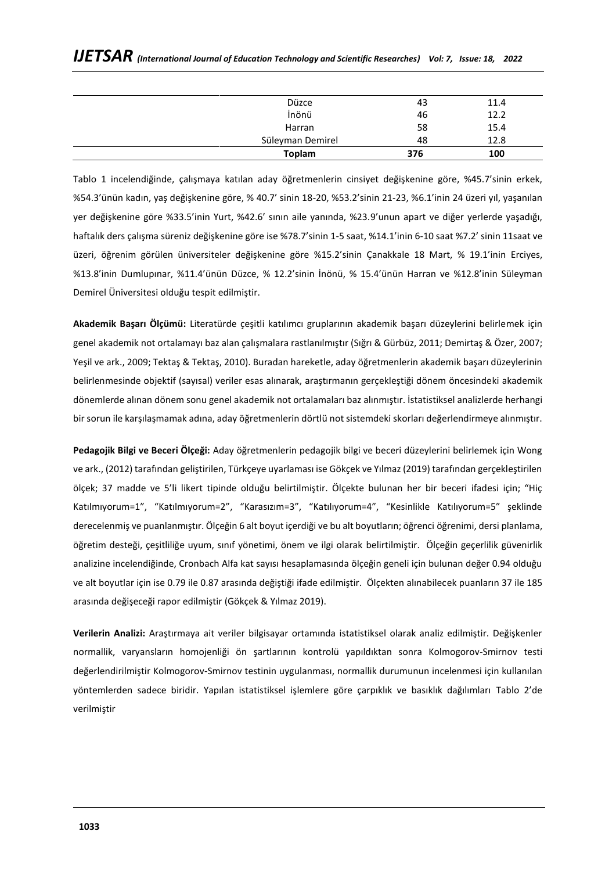| Düzce            | 43  | 11.4 |
|------------------|-----|------|
| İnönü            | 46  | 12.2 |
| Harran           | 58  | 15.4 |
| Süleyman Demirel | 48  | 12.8 |
| <b>Toplam</b>    | 376 | 100  |

Tablo 1 incelendiğinde, çalışmaya katılan aday öğretmenlerin cinsiyet değişkenine göre, %45.7'sinin erkek, %54.3'ünün kadın, yaş değişkenine göre, % 40.7' sinin 18-20, %53.2'sinin 21-23, %6.1'inin 24 üzeri yıl, yaşanılan yer değişkenine göre %33.5'inin Yurt, %42.6' sının aile yanında, %23.9'unun apart ve diğer yerlerde yaşadığı, haftalık ders çalışma süreniz değişkenine göre ise %78.7'sinin 1-5 saat, %14.1'inin 6-10 saat %7.2' sinin 11saat ve üzeri, öğrenim görülen üniversiteler değişkenine göre %15.2'sinin Çanakkale 18 Mart, % 19.1'inin Erciyes, %13.8'inin Dumlupınar, %11.4'ünün Düzce, % 12.2'sinin İnönü, % 15.4'ünün Harran ve %12.8'inin Süleyman Demirel Üniversitesi olduğu tespit edilmiştir.

**Akademik Başarı Ölçümü:** Literatürde çeşitli katılımcı gruplarının akademik başarı düzeylerini belirlemek için genel akademik not ortalamayı baz alan çalışmalara rastlanılmıştır (Sığrı & Gürbüz, 2011; Demirtaş & Özer, 2007; Yeşil ve ark., 2009; Tektaş & Tektaş, 2010). Buradan hareketle, aday öğretmenlerin akademik başarı düzeylerinin belirlenmesinde objektif (sayısal) veriler esas alınarak, araştırmanın gerçekleştiği dönem öncesindeki akademik dönemlerde alınan dönem sonu genel akademik not ortalamaları baz alınmıştır. İstatistiksel analizlerde herhangi bir sorun ile karşılaşmamak adına, aday öğretmenlerin dörtlü not sistemdeki skorları değerlendirmeye alınmıştır.

**Pedagojik Bilgi ve Beceri Ölçeği:** Aday öğretmenlerin pedagojik bilgi ve beceri düzeylerini belirlemek için Wong ve ark., (2012) tarafından geliştirilen, Türkçeye uyarlaması ise Gökçek ve Yılmaz (2019) tarafından gerçekleştirilen ölçek; 37 madde ve 5'li likert tipinde olduğu belirtilmiştir. Ölçekte bulunan her bir beceri ifadesi için; "Hiç Katılmıyorum=1", "Katılmıyorum=2", "Karasızım=3", "Katılıyorum=4", "Kesinlikle Katılıyorum=5" şeklinde derecelenmiş ve puanlanmıştır. Ölçeğin 6 alt boyut içerdiği ve bu alt boyutların; öğrenci öğrenimi, dersi planlama, öğretim desteği, çeşitliliğe uyum, sınıf yönetimi, önem ve ilgi olarak belirtilmiştir. Ölçeğin geçerlilik güvenirlik analizine incelendiğinde, Cronbach Alfa kat sayısı hesaplamasında ölçeğin geneli için bulunan değer 0.94 olduğu ve alt boyutlar için ise 0.79 ile 0.87 arasında değiştiği ifade edilmiştir. Ölçekten alınabilecek puanların 37 ile 185 arasında değişeceği rapor edilmiştir (Gökçek & Yılmaz 2019).

**Verilerin Analizi:** Araştırmaya ait veriler bilgisayar ortamında istatistiksel olarak analiz edilmiştir. Değişkenler normallik, varyansların homojenliği ön şartlarının kontrolü yapıldıktan sonra Kolmogorov-Smirnov testi değerlendirilmiştir Kolmogorov-Smirnov testinin uygulanması, normallik durumunun incelenmesi için kullanılan yöntemlerden sadece biridir. Yapılan istatistiksel işlemlere göre çarpıklık ve basıklık dağılımları Tablo 2'de verilmiştir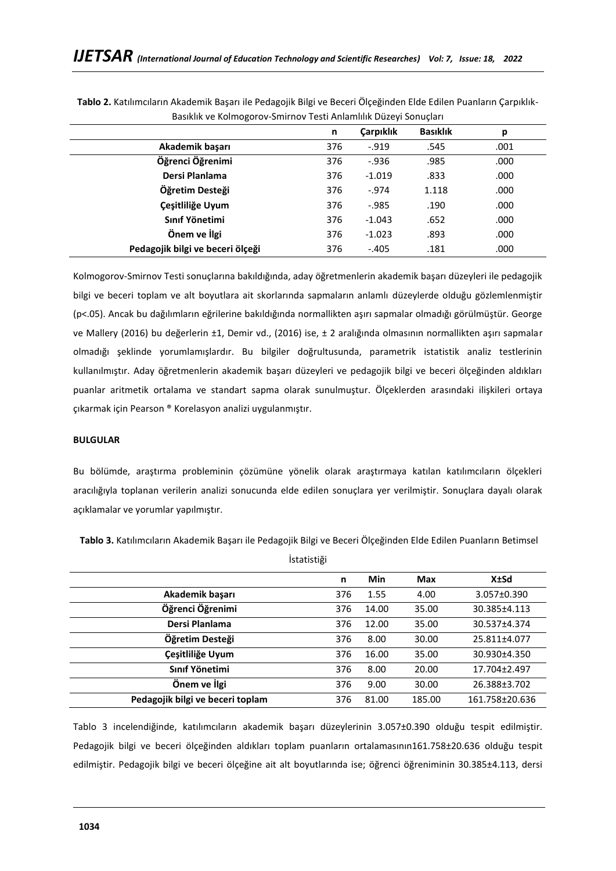| n   | <b>Carpiklik</b> | <b>Basıklık</b> | р    |
|-----|------------------|-----------------|------|
| 376 | $-.919$          | .545            | .001 |
| 376 | $-0.936$         | .985            | .000 |
| 376 | $-1.019$         | .833            | .000 |
| 376 | $-0.974$         | 1.118           | .000 |
| 376 | $-0.985$         | .190            | .000 |
| 376 | $-1.043$         | .652            | .000 |
| 376 | $-1.023$         | .893            | .000 |
| 376 | $-.405$          | .181            | .000 |
|     |                  |                 |      |

**Tablo 2.** Katılımcıların Akademik Başarı ile Pedagojik Bilgi ve Beceri Ölçeğinden Elde Edilen Puanların Çarpıklık-Basıklık ve Kolmogorov-Smirnov Testi Anlamlılık Düzeyi Sonuçları

Kolmogorov-Smirnov Testi sonuçlarına bakıldığında, aday öğretmenlerin akademik başarı düzeyleri ile pedagojik bilgi ve beceri toplam ve alt boyutlara ait skorlarında sapmaların anlamlı düzeylerde olduğu gözlemlenmiştir (p<.05). Ancak bu dağılımların eğrilerine bakıldığında normallikten aşırı sapmalar olmadığı görülmüştür. George ve Mallery (2016) bu değerlerin ±1, Demir vd., (2016) ise, ± 2 aralığında olmasının normallikten aşırı sapmalar olmadığı şeklinde yorumlamışlardır. Bu bilgiler doğrultusunda, parametrik istatistik analiz testlerinin kullanılmıştır. Aday öğretmenlerin akademik başarı düzeyleri ve pedagojik bilgi ve beceri ölçeğinden aldıkları puanlar aritmetik ortalama ve standart sapma olarak sunulmuştur. Ölçeklerden arasındaki ilişkileri ortaya çıkarmak için Pearson ® Korelasyon analizi uygulanmıştır.

#### **BULGULAR**

Bu bölümde, araştırma probleminin çözümüne yönelik olarak araştırmaya katılan katılımcıların ölçekleri aracılığıyla toplanan verilerin analizi sonucunda elde edilen sonuçlara yer verilmiştir. Sonuçlara dayalı olarak açıklamalar ve yorumlar yapılmıştır.

| İstatistiği                      |     |       |        |                          |
|----------------------------------|-----|-------|--------|--------------------------|
|                                  | n   | Min   | Max    | <b>X</b> <sup>+</sup> Sd |
| Akademik başarı                  | 376 | 1.55  | 4.00   | 3.057±0.390              |
| Öğrenci Öğrenimi                 | 376 | 14.00 | 35.00  | 30.385±4.113             |
| Dersi Planlama                   | 376 | 12.00 | 35.00  | 30.537±4.374             |
| Öğretim Desteği                  | 376 | 8.00  | 30.00  | 25.811±4.077             |
| Çeşitliliğe Uyum                 | 376 | 16.00 | 35.00  | 30.930±4.350             |
| Sınıf Yönetimi                   | 376 | 8.00  | 20.00  | 17.704±2.497             |
| Önem ve İlgi                     | 376 | 9.00  | 30.00  | 26.388±3.702             |
| Pedagojik bilgi ve beceri toplam | 376 | 81.00 | 185.00 | 161.758±20.636           |

**Tablo 3.** Katılımcıların Akademik Başarı ile Pedagojik Bilgi ve Beceri Ölçeğinden Elde Edilen Puanların Betimsel

Tablo 3 incelendiğinde, katılımcıların akademik başarı düzeylerinin 3.057±0.390 olduğu tespit edilmiştir. Pedagojik bilgi ve beceri ölçeğinden aldıkları toplam puanların ortalamasının161.758±20.636 olduğu tespit edilmiştir. Pedagojik bilgi ve beceri ölçeğine ait alt boyutlarında ise; öğrenci öğreniminin 30.385±4.113, dersi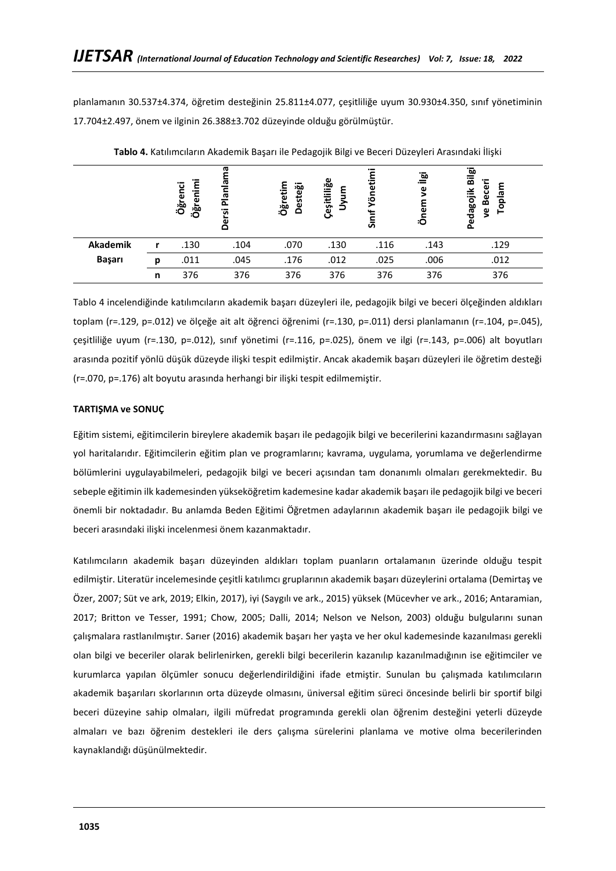planlamanın 30.537±4.374, öğretim desteğinin 25.811±4.077, çeşitliliğe uyum 30.930±4.350, sınıf yönetiminin 17.704±2.497, önem ve ilginin 26.388±3.702 düzeyinde olduğu görülmüştür.

|          |   | Öğrenimi<br>ë<br>Öğren | ത<br><u>ര</u><br>Planl<br>Dersi | Öğretim<br><b>Desteği</b> | Çeşitliliğe<br>ε<br>∍ | Yönetii<br>ᇰ | آ <u>ھ</u><br>ς<br>Önem | <u>َهَ</u><br>高<br>Toplam<br>Becer<br>Pedagojik<br>ς |
|----------|---|------------------------|---------------------------------|---------------------------|-----------------------|--------------|-------------------------|------------------------------------------------------|
| Akademik |   | .130                   | .104                            | .070                      | .130                  | .116         | .143                    | .129                                                 |
| Başarı   | n | .011                   | .045                            | .176                      | .012                  | .025         | .006                    | .012                                                 |
|          | n | 376                    | 376                             | 376                       | 376                   | 376          | 376                     | 376                                                  |

**Tablo 4.** Katılımcıların Akademik Başarı ile Pedagojik Bilgi ve Beceri Düzeyleri Arasındaki İlişki

Tablo 4 incelendiğinde katılımcıların akademik başarı düzeyleri ile, pedagojik bilgi ve beceri ölçeğinden aldıkları toplam (r=.129, p=.012) ve ölçeğe ait alt öğrenci öğrenimi (r=.130, p=.011) dersi planlamanın (r=.104, p=.045), çeşitliliğe uyum (r=.130, p=.012), sınıf yönetimi (r=.116, p=.025), önem ve ilgi (r=.143, p=.006) alt boyutları arasında pozitif yönlü düşük düzeyde ilişki tespit edilmiştir. Ancak akademik başarı düzeyleri ile öğretim desteği (r=.070, p=.176) alt boyutu arasında herhangi bir ilişki tespit edilmemiştir.

#### **TARTIŞMA ve SONUÇ**

Eğitim sistemi, eğitimcilerin bireylere akademik başarı ile pedagojik bilgi ve becerilerini kazandırmasını sağlayan yol haritalarıdır. Eğitimcilerin eğitim plan ve programlarını; kavrama, uygulama, yorumlama ve değerlendirme bölümlerini uygulayabilmeleri, pedagojik bilgi ve beceri açısından tam donanımlı olmaları gerekmektedir. Bu sebeple eğitimin ilk kademesinden yükseköğretim kademesine kadar akademik başarı ile pedagojik bilgi ve beceri önemli bir noktadadır. Bu anlamda Beden Eğitimi Öğretmen adaylarının akademik başarı ile pedagojik bilgi ve beceri arasındaki ilişki incelenmesi önem kazanmaktadır.

Katılımcıların akademik başarı düzeyinden aldıkları toplam puanların ortalamanın üzerinde olduğu tespit edilmiştir. Literatür incelemesinde çeşitli katılımcı gruplarının akademik başarı düzeylerini ortalama (Demirtaş ve Özer, 2007; Süt ve ark, 2019; Elkin, 2017), iyi (Saygılı ve ark., 2015) yüksek (Mücevher ve ark., 2016; Antaramian, 2017; Britton ve Tesser, 1991; Chow, 2005; Dalli, 2014; Nelson ve Nelson, 2003) olduğu bulgularını sunan çalışmalara rastlanılmıştır. Sarıer (2016) akademik başarı her yaşta ve her okul kademesinde kazanılması gerekli olan bilgi ve beceriler olarak belirlenirken, gerekli bilgi becerilerin kazanılıp kazanılmadığının ise eğitimciler ve kurumlarca yapılan ölçümler sonucu değerlendirildiğini ifade etmiştir. Sunulan bu çalışmada katılımcıların akademik başarıları skorlarının orta düzeyde olmasını, üniversal eğitim süreci öncesinde belirli bir sportif bilgi beceri düzeyine sahip olmaları, ilgili müfredat programında gerekli olan öğrenim desteğini yeterli düzeyde almaları ve bazı öğrenim destekleri ile ders çalışma sürelerini planlama ve motive olma becerilerinden kaynaklandığı düşünülmektedir.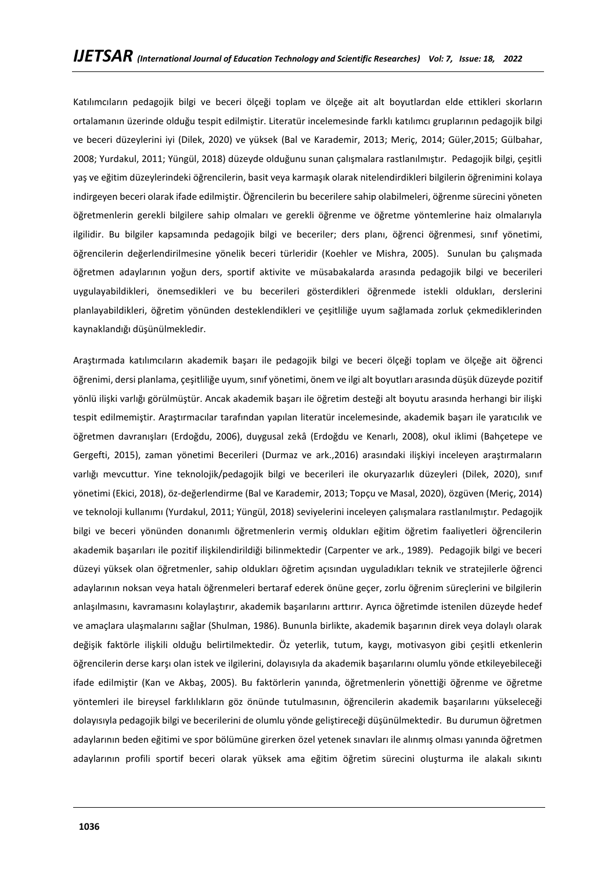Katılımcıların pedagojik bilgi ve beceri ölçeği toplam ve ölçeğe ait alt boyutlardan elde ettikleri skorların ortalamanın üzerinde olduğu tespit edilmiştir. Literatür incelemesinde farklı katılımcı gruplarının pedagojik bilgi ve beceri düzeylerini iyi (Dilek, 2020) ve yüksek (Bal ve Karademir, 2013; Meriç, 2014; Güler,2015; Gülbahar, 2008; Yurdakul, 2011; Yüngül, 2018) düzeyde olduğunu sunan çalışmalara rastlanılmıştır. Pedagojik bilgi, çeşitli yaş ve eğitim düzeylerindeki öğrencilerin, basit veya karmaşık olarak nitelendirdikleri bilgilerin öğrenimini kolaya indirgeyen beceri olarak ifade edilmiştir. Öğrencilerin bu becerilere sahip olabilmeleri, öğrenme sürecini yöneten öğretmenlerin gerekli bilgilere sahip olmaları ve gerekli öğrenme ve öğretme yöntemlerine haiz olmalarıyla ilgilidir. Bu bilgiler kapsamında pedagojik bilgi ve beceriler; ders planı, öğrenci öğrenmesi, sınıf yönetimi, öğrencilerin değerlendirilmesine yönelik beceri türleridir (Koehler ve Mishra, 2005). Sunulan bu çalışmada öğretmen adaylarının yoğun ders, sportif aktivite ve müsabakalarda arasında pedagojik bilgi ve becerileri uygulayabildikleri, önemsedikleri ve bu becerileri gösterdikleri öğrenmede istekli oldukları, derslerini planlayabildikleri, öğretim yönünden desteklendikleri ve çeşitliliğe uyum sağlamada zorluk çekmediklerinden kaynaklandığı düşünülmekledir.

Araştırmada katılımcıların akademik başarı ile pedagojik bilgi ve beceri ölçeği toplam ve ölçeğe ait öğrenci öğrenimi, dersi planlama, çeşitliliğe uyum, sınıf yönetimi, önem ve ilgi alt boyutları arasında düşük düzeyde pozitif yönlü ilişki varlığı görülmüştür. Ancak akademik başarı ile öğretim desteği alt boyutu arasında herhangi bir ilişki tespit edilmemiştir. Araştırmacılar tarafından yapılan literatür incelemesinde, akademik başarı ile yaratıcılık ve öğretmen davranışları (Erdoğdu, 2006), duygusal zekâ (Erdoğdu ve Kenarlı, 2008), okul iklimi (Bahçetepe ve Gergefti, 2015), zaman yönetimi Becerileri (Durmaz ve ark.,2016) arasındaki ilişkiyi inceleyen araştırmaların varlığı mevcuttur. Yine teknolojik/pedagojik bilgi ve becerileri ile okuryazarlık düzeyleri (Dilek, 2020), sınıf yönetimi (Ekici, 2018), öz-değerlendirme (Bal ve Karademir, 2013; Topçu ve Masal, 2020), özgüven (Meriç, 2014) ve teknoloji kullanımı (Yurdakul, 2011; Yüngül, 2018) seviyelerini inceleyen çalışmalara rastlanılmıştır. Pedagojik bilgi ve beceri yönünden donanımlı öğretmenlerin vermiş oldukları eğitim öğretim faaliyetleri öğrencilerin akademik başarıları ile pozitif ilişkilendirildiği bilinmektedir (Carpenter ve ark., 1989). Pedagojik bilgi ve beceri düzeyi yüksek olan öğretmenler, sahip oldukları öğretim açısından uyguladıkları teknik ve stratejilerle öğrenci adaylarının noksan veya hatalı öğrenmeleri bertaraf ederek önüne geçer, zorlu öğrenim süreçlerini ve bilgilerin anlaşılmasını, kavramasını kolaylaştırır, akademik başarılarını arttırır. Ayrıca öğretimde istenilen düzeyde hedef ve amaçlara ulaşmalarını sağlar (Shulman, 1986). Bununla birlikte, akademik başarının direk veya dolaylı olarak değişik faktörle ilişkili olduğu belirtilmektedir. Öz yeterlik, tutum, kaygı, motivasyon gibi çeşitli etkenlerin öğrencilerin derse karşı olan istek ve ilgilerini, dolayısıyla da akademik başarılarını olumlu yönde etkileyebileceği ifade edilmiştir (Kan ve Akbaş, 2005). Bu faktörlerin yanında, öğretmenlerin yönettiği öğrenme ve öğretme yöntemleri ile bireysel farklılıkların göz önünde tutulmasının, öğrencilerin akademik başarılarını yükseleceği dolayısıyla pedagojik bilgi ve becerilerini de olumlu yönde geliştireceği düşünülmektedir. Bu durumun öğretmen adaylarının beden eğitimi ve spor bölümüne girerken özel yetenek sınavları ile alınmış olması yanında öğretmen adaylarının profili sportif beceri olarak yüksek ama eğitim öğretim sürecini oluşturma ile alakalı sıkıntı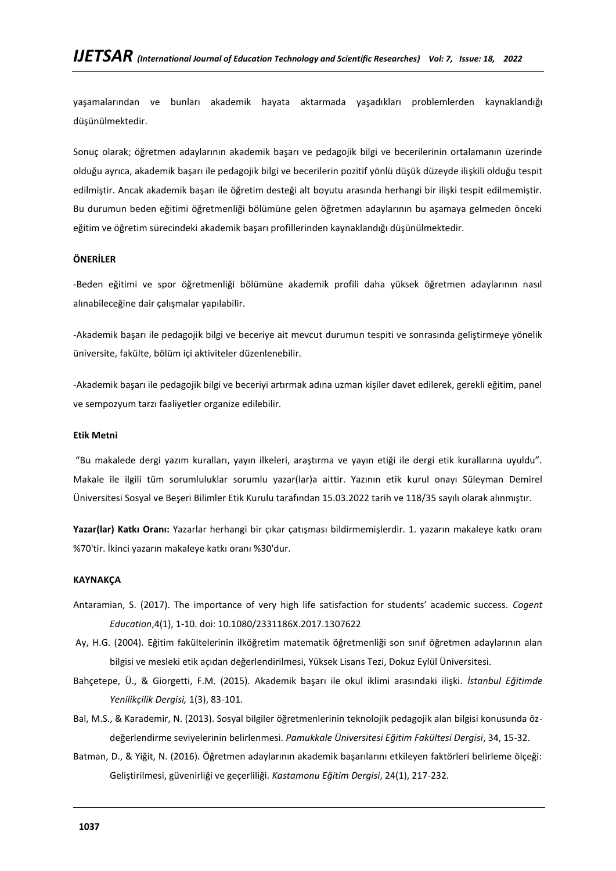yaşamalarından ve bunları akademik hayata aktarmada yaşadıkları problemlerden kaynaklandığı düşünülmektedir.

Sonuç olarak; öğretmen adaylarının akademik başarı ve pedagojik bilgi ve becerilerinin ortalamanın üzerinde olduğu ayrıca, akademik başarı ile pedagojik bilgi ve becerilerin pozitif yönlü düşük düzeyde ilişkili olduğu tespit edilmiştir. Ancak akademik başarı ile öğretim desteği alt boyutu arasında herhangi bir ilişki tespit edilmemiştir. Bu durumun beden eğitimi öğretmenliği bölümüne gelen öğretmen adaylarının bu aşamaya gelmeden önceki eğitim ve öğretim sürecindeki akademik başarı profillerinden kaynaklandığı düşünülmektedir.

#### **ÖNERİLER**

-Beden eğitimi ve spor öğretmenliği bölümüne akademik profili daha yüksek öğretmen adaylarının nasıl alınabileceğine dair çalışmalar yapılabilir.

-Akademik başarı ile pedagojik bilgi ve beceriye ait mevcut durumun tespiti ve sonrasında geliştirmeye yönelik üniversite, fakülte, bölüm içi aktiviteler düzenlenebilir.

-Akademik başarı ile pedagojik bilgi ve beceriyi artırmak adına uzman kişiler davet edilerek, gerekli eğitim, panel ve sempozyum tarzı faaliyetler organize edilebilir.

#### **Etik Metni**

"Bu makalede dergi yazım kuralları, yayın ilkeleri, araştırma ve yayın etiği ile dergi etik kurallarına uyuldu". Makale ile ilgili tüm sorumluluklar sorumlu yazar(lar)a aittir. Yazının etik kurul onayı Süleyman Demirel Üniversitesi Sosyal ve Beşeri Bilimler Etik Kurulu tarafından 15.03.2022 tarih ve 118/35 sayılı olarak alınmıştır.

**Yazar(lar) Katkı Oranı:** Yazarlar herhangi bir çıkar çatışması bildirmemişlerdir. 1. yazarın makaleye katkı oranı %70'tir. İkinci yazarın makaleye katkı oranı %30'dur.

#### **KAYNAKÇA**

- Antaramian, S. (2017). The importance of very high life satisfaction for students' academic success. *Cogent Education*,4(1), 1-10. doi: 10.1080/2331186X.2017.1307622
- Ay, H.G. (2004). Eğitim fakültelerinin ilköğretim matematik öğretmenliği son sınıf öğretmen adaylarının alan bilgisi ve mesleki etik açıdan değerlendirilmesi, Yüksek Lisans Tezi, Dokuz Eylül Üniversitesi.
- Bahçetepe, Ü., & Giorgetti, F.M. (2015). Akademik başarı ile okul iklimi arasındaki ilişki. *İstanbul Eğitimde Yenilikçilik Dergisi,* 1(3), 83-101.
- Bal, M.S., & Karademir, N. (2013). Sosyal bilgiler öğretmenlerinin teknolojik pedagojik alan bilgisi konusunda özdeğerlendirme seviyelerinin belirlenmesi. *Pamukkale Üniversitesi Eğitim Fakültesi Dergisi*, 34, 15-32.
- Batman, D., & Yiğit, N. (2016). Öğretmen adaylarının akademik başarılarını etkileyen faktörleri belirleme ölçeği: Geliştirilmesi, güvenirliği ve geçerliliği. *Kastamonu Eğitim Dergisi*, 24(1), 217-232.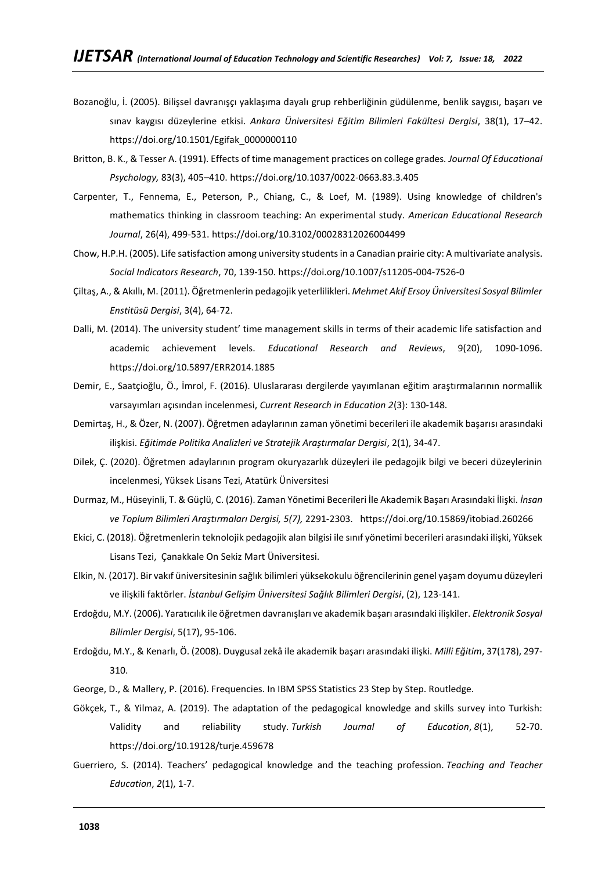- Bozanoğlu, İ. (2005). Bilişsel davranışçı yaklaşıma dayalı grup rehberliğinin güdülenme, benlik saygısı, başarı ve sınav kaygısı düzeylerine etkisi. *Ankara Üniversitesi Eğitim Bilimleri Fakültesi Dergisi*, 38(1), 17–42. https://doi.org/10.1501/Egifak\_0000000110
- Britton, B. K., & Tesser A. (1991). Effects of time management practices on college grades*. Journal Of Educational Psychology,* 83(3), 405–410. https://doi.org/10.1037/0022-0663.83.3.405
- Carpenter, T., Fennema, E., Peterson, P., Chiang, C., & Loef, M. (1989). Using knowledge of children's mathematics thinking in classroom teaching: An experimental study. *American Educational Research Journal*, 26(4), 499-531. https://doi.org/10.3102/00028312026004499
- Chow, H.P.H. (2005). Life satisfaction among university students in a Canadian prairie city: A multivariate analysis. *Social Indicators Research*, 70, 139-150. https://doi.org/10.1007/s11205-004-7526-0
- Çiltaş, A., & Akıllı, M. (2011). Öğretmenlerin pedagojik yeterlilikleri. *Mehmet Akif Ersoy Üniversitesi Sosyal Bilimler Enstitüsü Dergisi*, 3(4), 64-72.
- Dalli, M. (2014). The university student' time management skills in terms of their academic life satisfaction and academic achievement levels. *Educational Research and Reviews*, 9(20), 1090-1096. https://doi.org/10.5897/ERR2014.1885
- Demir, E., Saatçioğlu, Ö., İmrol, F. (2016). Uluslararası dergilerde yayımlanan eğitim araştırmalarının normallik varsayımları açısından incelenmesi, *Current Research in Education 2*(3): 130-148.
- Demirtaş, H., & Özer, N. (2007). Öğretmen adaylarının zaman yönetimi becerileri ile akademik başarısı arasındaki ilişkisi. *Eğitimde Politika Analizleri ve Stratejik Araştırmalar Dergisi*, 2(1), 34-47.
- Dilek, Ç. (2020). Öğretmen adaylarının program okuryazarlık düzeyleri ile pedagojik bilgi ve beceri düzeylerinin incelenmesi, Yüksek Lisans Tezi, Atatürk Üniversitesi
- Durmaz, M., Hüseyinli, T. & Güçlü, C. (2016). Zaman Yönetimi Becerileri İle Akademik Başarı Arasındaki İlişki. *İnsan ve Toplum Bilimleri Araştırmaları Dergisi, 5(7),* 2291-2303. https://doi.org/10.15869/itobiad.260266
- Ekici, C. (2018). Öğretmenlerin teknolojik pedagojik alan bilgisi ile sınıf yönetimi becerileri arasındaki ilişki, Yüksek Lisans Tezi, Çanakkale On Sekiz Mart Üniversitesi.
- Elkin, N. (2017). Bir vakıf üniversitesinin sağlık bilimleri yüksekokulu öğrencilerinin genel yaşam doyumu düzeyleri ve ilişkili faktörler. *İstanbul Gelişim Üniversitesi Sağlık Bilimleri Dergisi*, (2), 123-141.
- Erdoğdu, M.Y. (2006). Yaratıcılık ile öğretmen davranışları ve akademik başarı arasındaki ilişkiler. *Elektronik Sosyal Bilimler Dergisi*, 5(17), 95-106.
- Erdoğdu, M.Y., & Kenarlı, Ö. (2008). Duygusal zekâ ile akademik başarı arasındaki ilişki. *Milli Eğitim*, 37(178), 297- 310.
- George, D., & Mallery, P. (2016). Frequencies. In IBM SPSS Statistics 23 Step by Step. Routledge.
- Gökçek, T., & Yilmaz, A. (2019). The adaptation of the pedagogical knowledge and skills survey into Turkish: Validity and reliability study. *Turkish Journal of Education*, *8*(1), 52-70. https://doi.org/10.19128/turje.459678
- Guerriero, S. (2014). Teachers' pedagogical knowledge and the teaching profession. *Teaching and Teacher Education*, *2*(1), 1-7.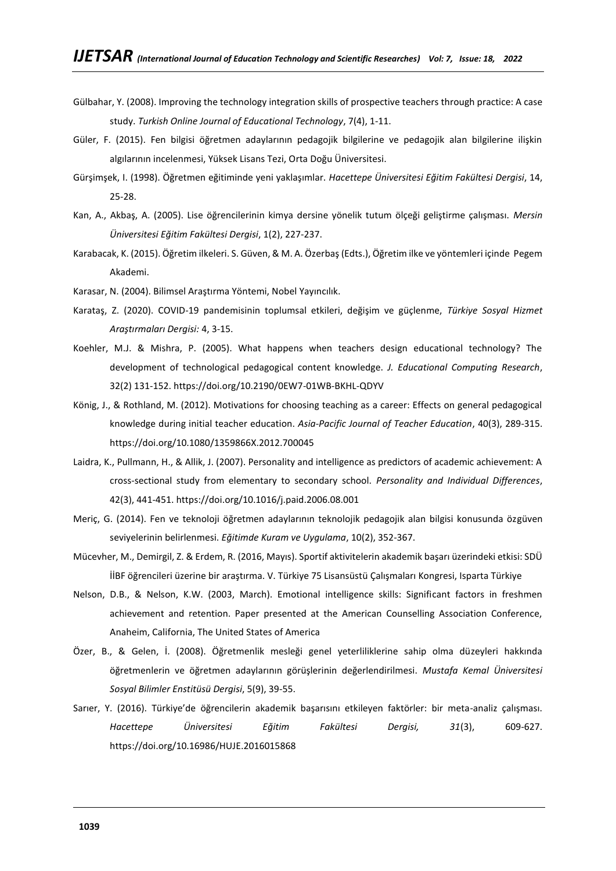- Gülbahar, Y. (2008). Improving the technology integration skills of prospective teachers through practice: A case study. *Turkish Online Journal of Educational Technology*, 7(4), 1-11.
- Güler, F. (2015). Fen bilgisi öğretmen adaylarının pedagojik bilgilerine ve pedagojik alan bilgilerine ilişkin algılarının incelenmesi, Yüksek Lisans Tezi, Orta Doğu Üniversitesi.
- Gürşimşek, I. (1998). Öğretmen eğitiminde yeni yaklaşımlar. *Hacettepe Üniversitesi Eğitim Fakültesi Dergisi*, 14, 25-28.
- Kan, A., Akbaş, A. (2005). Lise öğrencilerinin kimya dersine yönelik tutum ölçeği geliştirme çalışması. *Mersin Üniversitesi Eğitim Fakültesi Dergisi*, 1(2), 227-237.
- Karabacak, K. (2015). Öğretim ilkeleri. S. Güven, & M. A. Özerbaş (Edts.), Öğretim ilke ve yöntemleri içinde Pegem Akademi.
- Karasar, N. (2004). Bilimsel Araştırma Yöntemi, Nobel Yayıncılık.
- Karataş, Z. (2020). COVID-19 pandemisinin toplumsal etkileri, değişim ve güçlenme, *Türkiye Sosyal Hizmet Araştırmaları Dergisi:* 4, 3-15.
- Koehler, M.J. & Mishra, P. (2005). What happens when teachers design educational technology? The development of technological pedagogical content knowledge. *J. Educational Computing Research*, 32(2) 131-152. https://doi.org/10.2190/0EW7-01WB-BKHL-QDYV
- König, J., & Rothland, M. (2012). Motivations for choosing teaching as a career: Effects on general pedagogical knowledge during initial teacher education. *Asia-Pacific Journal of Teacher Education*, 40(3), 289-315. https://doi.org/10.1080/1359866X.2012.700045
- Laidra, K., Pullmann, H., & Allik, J. (2007). Personality and intelligence as predictors of academic achievement: A cross-sectional study from elementary to secondary school. *Personality and Individual Differences*, 42(3), 441-451. https://doi.org/10.1016/j.paid.2006.08.001
- Meriç, G. (2014). Fen ve teknoloji öğretmen adaylarının teknolojik pedagojik alan bilgisi konusunda özgüven seviyelerinin belirlenmesi. *Eğitimde Kuram ve Uygulama*, 10(2), 352-367.
- Mücevher, M., Demirgil, Z. & Erdem, R. (2016, Mayıs). Sportif aktivitelerin akademik başarı üzerindeki etkisi: SDÜ İİBF öğrencileri üzerine bir araştırma. V. Türkiye 75 Lisansüstü Çalışmaları Kongresi, Isparta Türkiye
- Nelson, D.B., & Nelson, K.W. (2003, March). Emotional intelligence skills: Significant factors in freshmen achievement and retention. Paper presented at the American Counselling Association Conference, Anaheim, California, The United States of America
- Özer, B., & Gelen, İ. (2008). Öğretmenlik mesleği genel yeterliliklerine sahip olma düzeyleri hakkında öğretmenlerin ve öğretmen adaylarının görüşlerinin değerlendirilmesi. *Mustafa Kemal Üniversitesi Sosyal Bilimler Enstitüsü Dergisi*, 5(9), 39-55.
- Sarıer, Y. (2016). Türkiye'de öğrencilerin akademik başarısını etkileyen faktörler: bir meta-analiz çalışması. *Hacettepe Üniversitesi Eğitim Fakültesi Dergisi, 31*(3), 609-627. https://doi.org/10.16986/HUJE.2016015868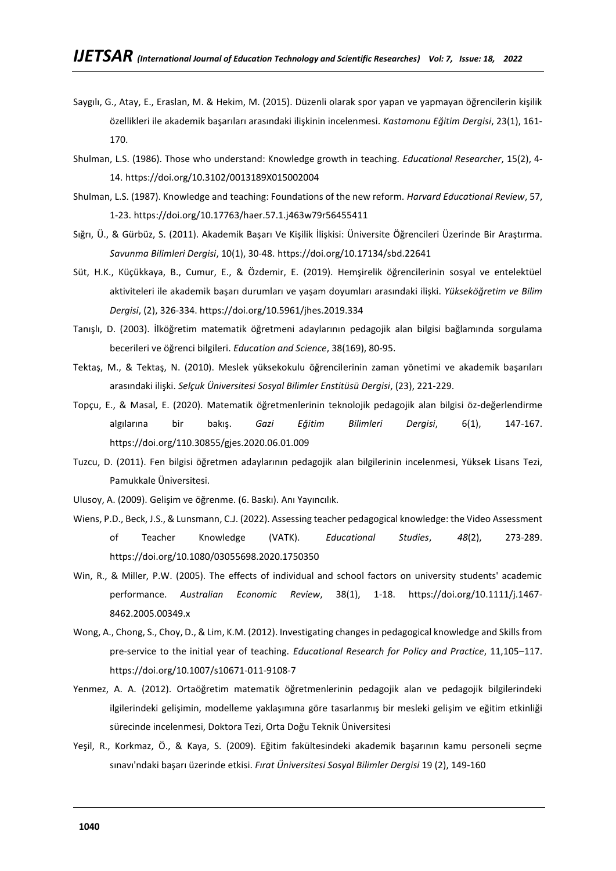- Saygılı, G., Atay, E., Eraslan, M. & Hekim, M. (2015). Düzenli olarak spor yapan ve yapmayan öğrencilerin kişilik özellikleri ile akademik başarıları arasındaki ilişkinin incelenmesi. *Kastamonu Eğitim Dergisi*, 23(1), 161- 170.
- Shulman, L.S. (1986). Those who understand: Knowledge growth in teaching. *Educational Researcher*, 15(2), 4- 14. https://doi.org/10.3102/0013189X015002004
- Shulman, L.S. (1987). Knowledge and teaching: Foundations of the new reform. *Harvard Educational Review*, 57, 1-23. https://doi.org/10.17763/haer.57.1.j463w79r56455411
- Sığrı, Ü., & Gürbüz, S. (2011). Akademik Başarı Ve Kişilik İlişkisi: Üniversite Öğrencileri Üzerinde Bir Araştırma. *Savunma Bilimleri Dergisi*, 10(1), 30-48. https://doi.org/10.17134/sbd.22641
- Süt, H.K., Küçükkaya, B., Cumur, E., & Özdemir, E. (2019). Hemşirelik öğrencilerinin sosyal ve entelektüel aktiviteleri ile akademik başarı durumları ve yaşam doyumları arasındaki ilişki. *Yükseköğretim ve Bilim Dergisi*, (2), 326-334. https://doi.org/10.5961/jhes.2019.334
- Tanışlı, D. (2003). İlköğretim matematik öğretmeni adaylarının pedagojik alan bilgisi bağlamında sorgulama becerileri ve öğrenci bilgileri. *Education and Science*, 38(169), 80-95.
- Tektaş, M., & Tektaş, N. (2010). Meslek yüksekokulu öğrencilerinin zaman yönetimi ve akademik başarıları arasındaki ilişki. *Selçuk Üniversitesi Sosyal Bilimler Enstitüsü Dergisi*, (23), 221-229.
- Topçu, E., & Masal, E. (2020). Matematik öğretmenlerinin teknolojik pedagojik alan bilgisi öz-değerlendirme algılarına bir bakış. *Gazi Eğitim Bilimleri Dergisi*, 6(1), 147-167. https://doi.org/110.30855/gjes.2020.06.01.009
- Tuzcu, D. (2011). Fen bilgisi öğretmen adaylarının pedagojik alan bilgilerinin incelenmesi, Yüksek Lisans Tezi, Pamukkale Üniversitesi.
- Ulusoy, A. (2009). Gelişim ve öğrenme. (6. Baskı). Anı Yayıncılık.
- Wiens, P.D., Beck, J.S., & Lunsmann, C.J. (2022). Assessing teacher pedagogical knowledge: the Video Assessment of Teacher Knowledge (VATK). *Educational Studies*, *48*(2), 273-289. https://doi.org/10.1080/03055698.2020.1750350
- Win, R., & Miller, P.W. (2005). The effects of individual and school factors on university students' academic performance. *Australian Economic Review*, 38(1), 1-18. https://doi.org/10.1111/j.1467- 8462.2005.00349.x
- Wong, A., Chong, S., Choy, D., & Lim, K.M. (2012). Investigating changes in pedagogical knowledge and Skills from pre-service to the initial year of teaching. *Educational Research for Policy and Practice*, 11,105–117. https://doi.org/10.1007/s10671-011-9108-7
- Yenmez, A. A. (2012). Ortaöğretim matematik öğretmenlerinin pedagojik alan ve pedagojik bilgilerindeki ilgilerindeki gelişimin, modelleme yaklaşımına göre tasarlanmış bir mesleki gelişim ve eğitim etkinliği sürecinde incelenmesi, Doktora Tezi, Orta Doğu Teknik Üniversitesi
- Yeşil, R., Korkmaz, Ö., & Kaya, S. (2009). Eğitim fakültesindeki akademik başarının kamu personeli seçme sınavı'ndaki başarı üzerinde etkisi. *Fırat Üniversitesi Sosyal Bilimler Dergisi* 19 (2), 149-160